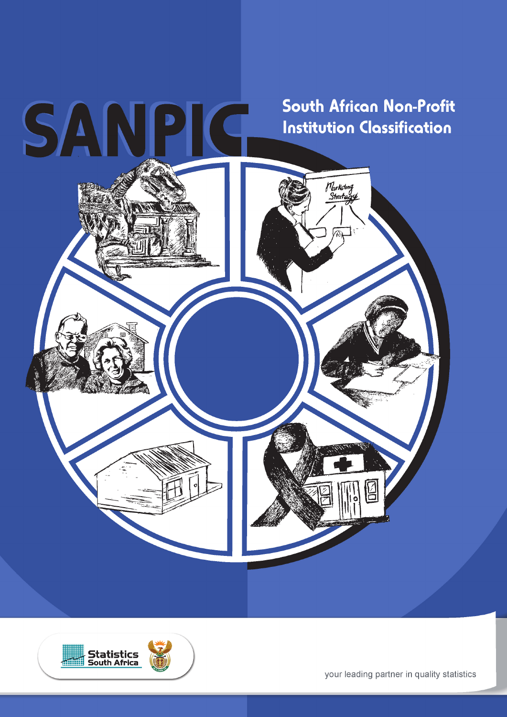



your leading partner in quality statistics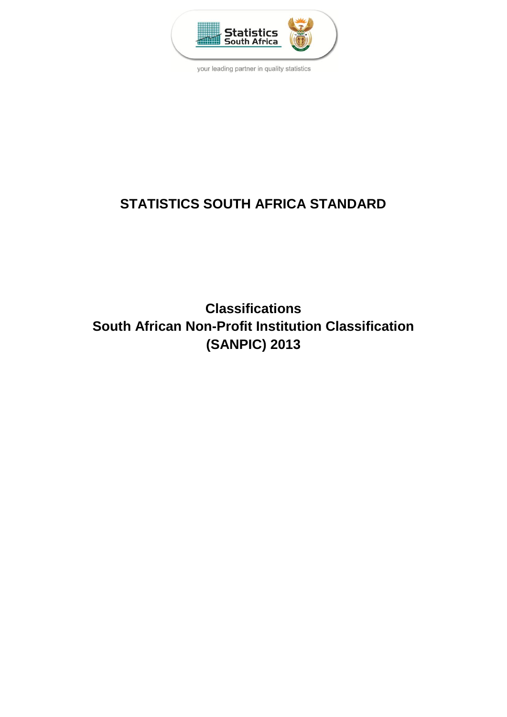

your leading partner in quality statistics

# **STATISTICS SOUTH AFRICA STANDARD**

**Classifications South African Non-Profit Institution Classification (SANPIC) 2013**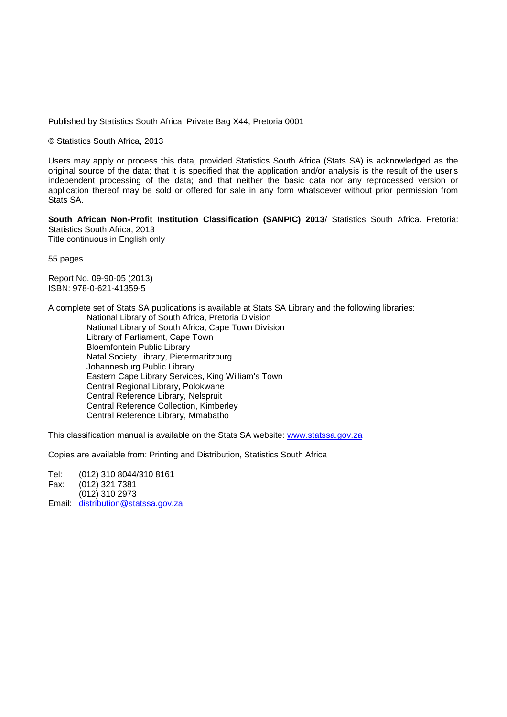Published by Statistics South Africa, Private Bag X44, Pretoria 0001

© Statistics South Africa, 2013

Users may apply or process this data, provided Statistics South Africa (Stats SA) is acknowledged as the original source of the data; that it is specified that the application and/or analysis is the result of the user's independent processing of the data; and that neither the basic data nor any reprocessed version or application thereof may be sold or offered for sale in any form whatsoever without prior permission from Stats SA.

**South African Non-Profit Institution Classification (SANPIC) 2013**/ Statistics South Africa. Pretoria: Statistics South Africa, 2013 Title continuous in English only

55 pages

Report No. 09-90-05 (2013) ISBN: 978-0-621-41359-5

A complete set of Stats SA publications is available at Stats SA Library and the following libraries: National Library of South Africa, Pretoria Division National Library of South Africa, Cape Town Division Library of Parliament, Cape Town Bloemfontein Public Library Natal Society Library, Pietermaritzburg Johannesburg Public Library Eastern Cape Library Services, King William's Town Central Regional Library, Polokwane Central Reference Library, Nelspruit Central Reference Collection, Kimberley Central Reference Library, Mmabatho

This classification manual is available on the Stats SA website: [www.statssa.gov.za](http://www.statssa.gov.za/)

Copies are available from: Printing and Distribution, Statistics South Africa

Tel: (012) 310 8044/310 8161

Fax: (012) 321 7381

(012) 310 2973

Email: [distribution@statssa.gov.za](mailto:distribution@statssa.gov.za)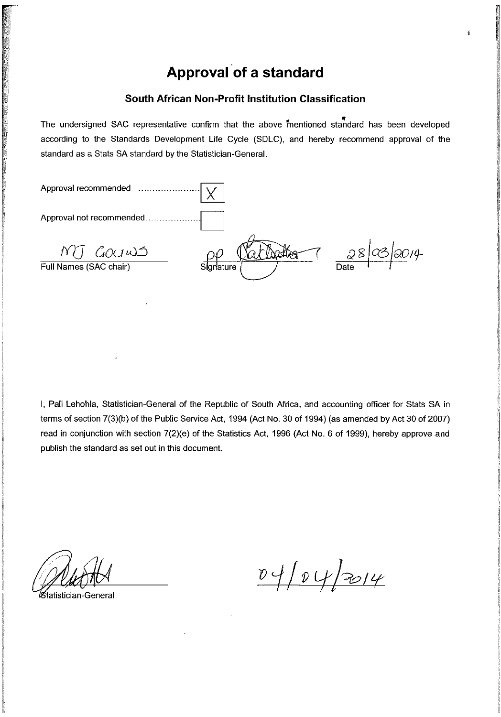# Approval of a standard

ý.

#### South African Non-Profit Institution Classification

The undersigned SAC representative confirm that the above mentioned standard has been developed according to the Standards Development Life Cycle (SDLC), and hereby recommend approval of the standard as a Stats SA standard by the Statistician-General.

| Approval recommended               |           |                    |
|------------------------------------|-----------|--------------------|
|                                    |           |                    |
| MT GOUWS<br>Full Names (SAC chair) | Signature | 2/4<br>28Q<br>Date |
|                                    |           |                    |

I, Pali Lehohla, Statistician-General of the Republic of South Africa, and accounting officer for Stats SA in terms of section 7(3)(b) of the Public Service Act, 1994 (Act No. 30 of 1994) (as amended by Act 30 of 2007) read in conjunction with section 7(2)(e) of the Statistics Act, 1996 (Act No. 6 of 1999), hereby approve and publish the standard as set out in this document.

atistician-General

 $04/04/2014$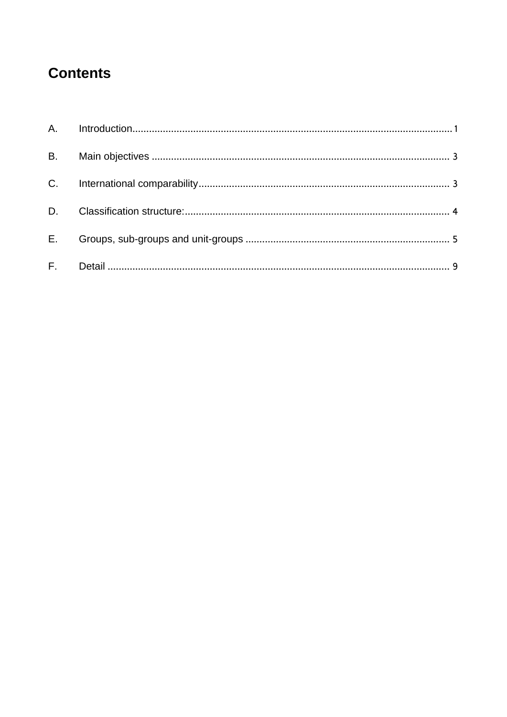# **Contents**

| $E_{\rm{max}}$ |  |
|----------------|--|
|                |  |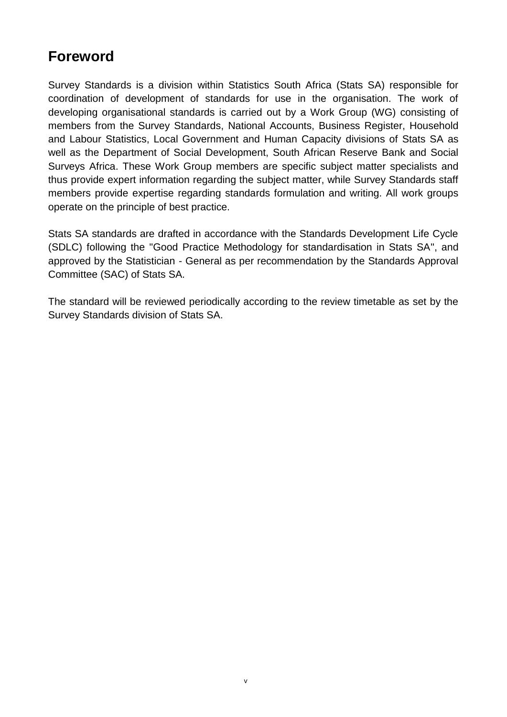# **Foreword**

Survey Standards is a division within Statistics South Africa (Stats SA) responsible for coordination of development of standards for use in the organisation. The work of developing organisational standards is carried out by a Work Group (WG) consisting of members from the Survey Standards, National Accounts, Business Register, Household and Labour Statistics, Local Government and Human Capacity divisions of Stats SA as well as the Department of Social Development, South African Reserve Bank and Social Surveys Africa. These Work Group members are specific subject matter specialists and thus provide expert information regarding the subject matter, while Survey Standards staff members provide expertise regarding standards formulation and writing. All work groups operate on the principle of best practice.

Stats SA standards are drafted in accordance with the Standards Development Life Cycle (SDLC) following the "Good Practice Methodology for standardisation in Stats SA", and approved by the Statistician - General as per recommendation by the Standards Approval Committee (SAC) of Stats SA.

The standard will be reviewed periodically according to the review timetable as set by the Survey Standards division of Stats SA.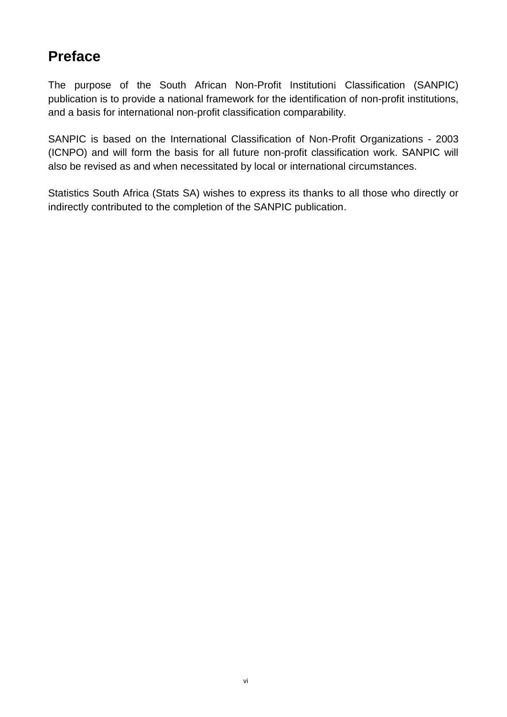# **Preface**

The purpose of the South African Non-Profit Institutioni Classification (SANPIC) publication is to provide a national framework for the identification of non-profit institutions, and a basis for international non-profit classification comparability.

SANPIC is based on the International Classification of Non-Profit Organizations - 2003 (ICNPO) and will form the basis for all future non-profit classification work. SANPIC will also be revised as and when necessitated by local or international circumstances.

Statistics South Africa (Stats SA) wishes to express its thanks to all those who directly or indirectly contributed to the completion of the SANPIC publication.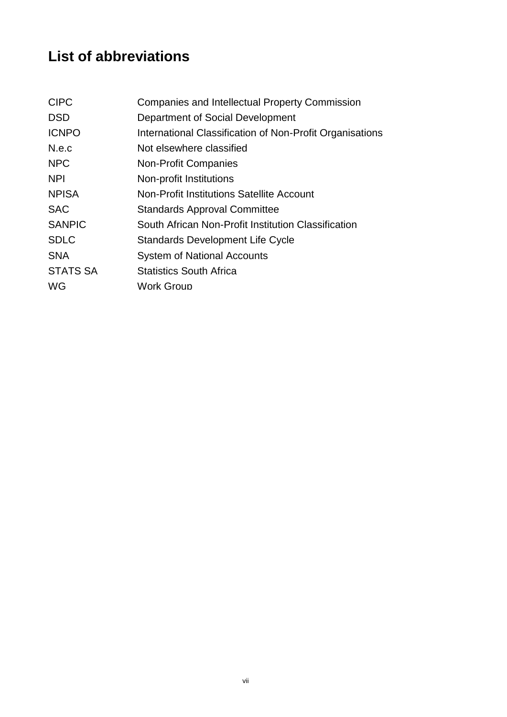# **List of abbreviations**

| <b>CIPC</b>     | <b>Companies and Intellectual Property Commission</b>    |
|-----------------|----------------------------------------------------------|
| <b>DSD</b>      | Department of Social Development                         |
| <b>ICNPO</b>    | International Classification of Non-Profit Organisations |
| N.e.c           | Not elsewhere classified                                 |
| <b>NPC</b>      | <b>Non-Profit Companies</b>                              |
| <b>NPI</b>      | Non-profit Institutions                                  |
| <b>NPISA</b>    | <b>Non-Profit Institutions Satellite Account</b>         |
| <b>SAC</b>      | <b>Standards Approval Committee</b>                      |
| <b>SANPIC</b>   | South African Non-Profit Institution Classification      |
| <b>SDLC</b>     | Standards Development Life Cycle                         |
| <b>SNA</b>      | <b>System of National Accounts</b>                       |
| <b>STATS SA</b> | <b>Statistics South Africa</b>                           |
| WG              | <b>Work Group</b>                                        |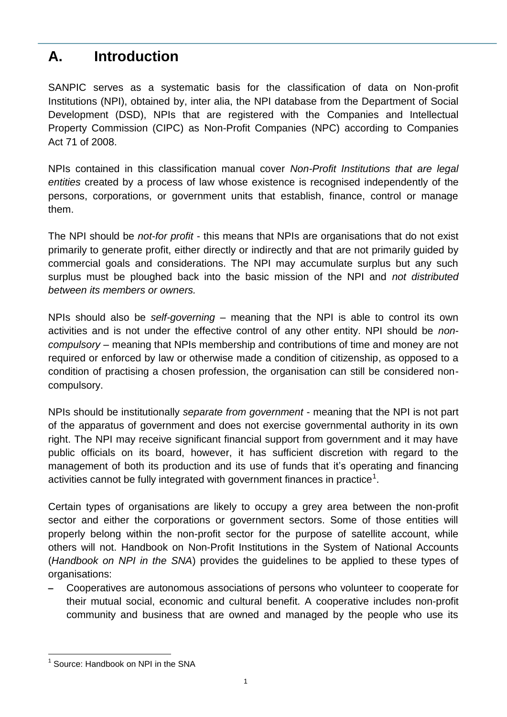# <span id="page-8-0"></span>**A. Introduction**

SANPIC serves as a systematic basis for the classification of data on Non-profit Institutions (NPI), obtained by, inter alia, the NPI database from the Department of Social Development (DSD), NPIs that are registered with the Companies and Intellectual Property Commission (CIPC) as Non-Profit Companies (NPC) according to Companies Act 71 of 2008.

NPIs contained in this classification manual cover *Non-Profit Institutions that are legal entities* created by a process of law whose existence is recognised independently of the persons, corporations, or government units that establish, finance, control or manage them.

The NPI should be *not-for profit* - this means that NPIs are organisations that do not exist primarily to generate profit, either directly or indirectly and that are not primarily guided by commercial goals and considerations. The NPI may accumulate surplus but any such surplus must be ploughed back into the basic mission of the NPI and *not distributed between its members or owners.*

NPIs should also be *self-governing –* meaning that the NPI is able to control its own activities and is not under the effective control of any other entity. NPI should be *noncompulsory* – meaning that NPIs membership and contributions of time and money are not required or enforced by law or otherwise made a condition of citizenship, as opposed to a condition of practising a chosen profession, the organisation can still be considered noncompulsory.

NPIs should be institutionally *separate from government* - meaning that the NPI is not part of the apparatus of government and does not exercise governmental authority in its own right. The NPI may receive significant financial support from government and it may have public officials on its board, however, it has sufficient discretion with regard to the management of both its production and its use of funds that it's operating and financing activities cannot be fully integrated with government finances in practice<sup>1</sup>.

Certain types of organisations are likely to occupy a grey area between the non-profit sector and either the corporations or government sectors. Some of those entities will properly belong within the non-profit sector for the purpose of satellite account, while others will not. Handbook on Non-Profit Institutions in the System of National Accounts (*Handbook on NPI in the SNA*) provides the guidelines to be applied to these types of organisations:

– Cooperatives are autonomous associations of persons who volunteer to cooperate for their mutual social, economic and cultural benefit. A cooperative includes non-profit community and business that are owned and managed by the people who use its

1

<sup>&</sup>lt;sup>1</sup> Source: Handbook on NPI in the SNA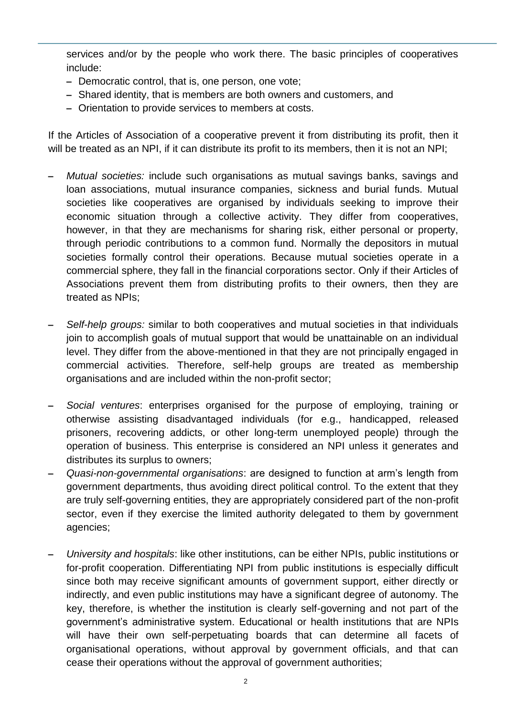services and/or by the people who work there. The basic principles of cooperatives include:

- Democratic control, that is, one person, one vote;
- Shared identity, that is members are both owners and customers, and
- Orientation to provide services to members at costs.

If the Articles of Association of a cooperative prevent it from distributing its profit, then it will be treated as an NPI, if it can distribute its profit to its members, then it is not an NPI;

- *Mutual societies:* include such organisations as mutual savings banks, savings and loan associations, mutual insurance companies, sickness and burial funds. Mutual societies like cooperatives are organised by individuals seeking to improve their economic situation through a collective activity. They differ from cooperatives, however, in that they are mechanisms for sharing risk, either personal or property, through periodic contributions to a common fund. Normally the depositors in mutual societies formally control their operations. Because mutual societies operate in a commercial sphere, they fall in the financial corporations sector. Only if their Articles of Associations prevent them from distributing profits to their owners, then they are treated as NPIs;
- *Self-help groups:* similar to both cooperatives and mutual societies in that individuals join to accomplish goals of mutual support that would be unattainable on an individual level. They differ from the above-mentioned in that they are not principally engaged in commercial activities. Therefore, self-help groups are treated as membership organisations and are included within the non-profit sector;
- *Social ventures*: enterprises organised for the purpose of employing, training or otherwise assisting disadvantaged individuals (for e.g., handicapped, released prisoners, recovering addicts, or other long-term unemployed people) through the operation of business. This enterprise is considered an NPI unless it generates and distributes its surplus to owners;
- *Quasi-non-governmental organisations*: are designed to function at arm's length from government departments, thus avoiding direct political control. To the extent that they are truly self-governing entities, they are appropriately considered part of the non-profit sector, even if they exercise the limited authority delegated to them by government agencies;
- *University and hospitals*: like other institutions, can be either NPIs, public institutions or for-profit cooperation. Differentiating NPI from public institutions is especially difficult since both may receive significant amounts of government support, either directly or indirectly, and even public institutions may have a significant degree of autonomy. The key, therefore, is whether the institution is clearly self-governing and not part of the government's administrative system. Educational or health institutions that are NPIs will have their own self-perpetuating boards that can determine all facets of organisational operations, without approval by government officials, and that can cease their operations without the approval of government authorities;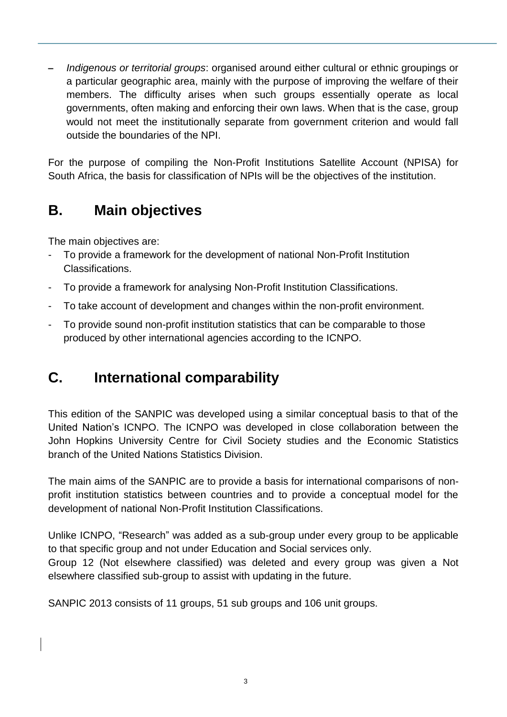– *Indigenous or territorial groups*: organised around either cultural or ethnic groupings or a particular geographic area, mainly with the purpose of improving the welfare of their members. The difficulty arises when such groups essentially operate as local governments, often making and enforcing their own laws. When that is the case, group would not meet the institutionally separate from government criterion and would fall outside the boundaries of the NPI.

For the purpose of compiling the Non-Profit Institutions Satellite Account (NPISA) for South Africa, the basis for classification of NPIs will be the objectives of the institution.

# <span id="page-10-0"></span>**B. Main objectives**

The main objectives are:

- To provide a framework for the development of national Non-Profit Institution Classifications.
- To provide a framework for analysing Non-Profit Institution Classifications.
- To take account of development and changes within the non-profit environment.
- To provide sound non-profit institution statistics that can be comparable to those produced by other international agencies according to the ICNPO.

# <span id="page-10-1"></span>**C. International comparability**

This edition of the SANPIC was developed using a similar conceptual basis to that of the United Nation's ICNPO. The ICNPO was developed in close collaboration between the John Hopkins University Centre for Civil Society studies and the Economic Statistics branch of the United Nations Statistics Division.

The main aims of the SANPIC are to provide a basis for international comparisons of nonprofit institution statistics between countries and to provide a conceptual model for the development of national Non-Profit Institution Classifications.

Unlike ICNPO, "Research" was added as a sub-group under every group to be applicable to that specific group and not under Education and Social services only.

Group 12 (Not elsewhere classified) was deleted and every group was given a Not elsewhere classified sub-group to assist with updating in the future.

SANPIC 2013 consists of 11 groups, 51 sub groups and 106 unit groups.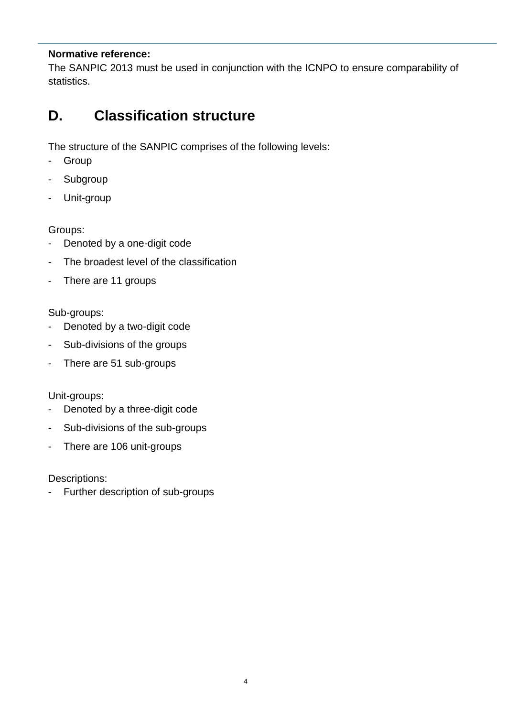#### **Normative reference:**

The SANPIC 2013 must be used in conjunction with the ICNPO to ensure comparability of statistics.

# <span id="page-11-0"></span>**D. Classification structure**

The structure of the SANPIC comprises of the following levels:

- Group
- Subgroup
- Unit-group

Groups:

- Denoted by a one-digit code
- The broadest level of the classification
- There are 11 groups

#### Sub-groups:

- Denoted by a two-digit code
- Sub-divisions of the groups
- There are 51 sub-groups

Unit-groups:

- Denoted by a three-digit code
- Sub-divisions of the sub-groups
- There are 106 unit-groups

Descriptions:

<span id="page-11-1"></span>- Further description of sub-groups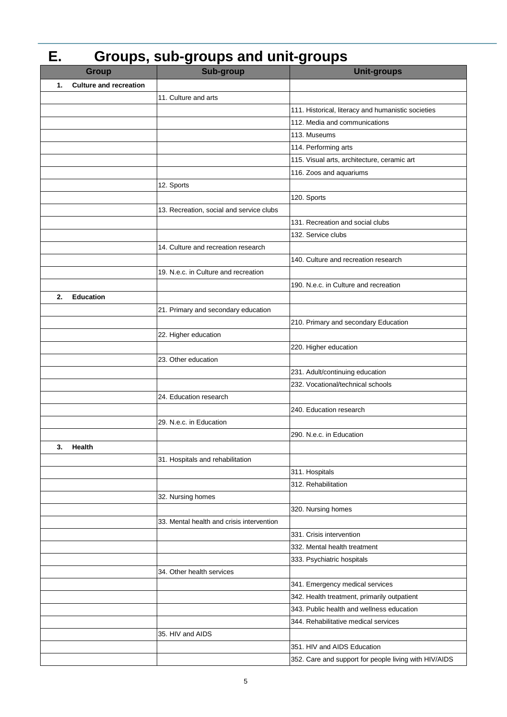#### **E. Groups, sub-groups and unit-groups Group Sub-group Unit-groups 1. Culture and recreation** 11. Culture and arts 111. Historical, literacy and humanistic societies 112. Media and communications 113. Museums 114. Performing arts 115. Visual arts, architecture, ceramic art 116. Zoos and aquariums 12. Sports 120. Sports 13. Recreation, social and service clubs 131. Recreation and social clubs 132. Service clubs 14. Culture and recreation research 140. Culture and recreation research 19. N.e.c. in Culture and recreation 190. N.e.c. in Culture and recreation **2. Education**  21. Primary and secondary education 210. Primary and secondary Education 22. Higher education 220. Higher education 23. Other education 231. Adult/continuing education 232. Vocational/technical schools 24. Education research 240. Education research 29. N.e.c. in Education 290. N.e.c. in Education **3. Health** 31. Hospitals and rehabilitation 311. Hospitals 312. Rehabilitation 32. Nursing homes 320. Nursing homes 33. Mental health and crisis intervention 331. Crisis intervention 332. Mental health treatment 333. Psychiatric hospitals 34. Other health services 341. Emergency medical services 342. Health treatment, primarily outpatient 343. Public health and wellness education 344. Rehabilitative medical services 35. HIV and AIDS 351. HIV and AIDS Education 352. Care and support for people living with HIV/AIDS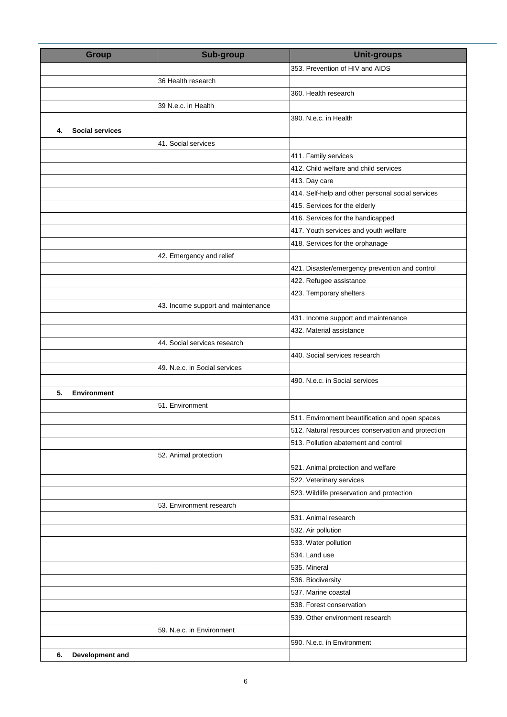| <b>Group</b>                 | <b>Sub-group</b>                   | <b>Unit-groups</b>                                 |
|------------------------------|------------------------------------|----------------------------------------------------|
|                              |                                    | 353. Prevention of HIV and AIDS                    |
|                              | 36 Health research                 |                                                    |
|                              |                                    | 360. Health research                               |
|                              | 39 N.e.c. in Health                |                                                    |
|                              |                                    | 390. N.e.c. in Health                              |
| <b>Social services</b><br>4. |                                    |                                                    |
|                              | 41. Social services                |                                                    |
|                              |                                    | 411. Family services                               |
|                              |                                    | 412. Child welfare and child services              |
|                              |                                    | 413. Day care                                      |
|                              |                                    | 414. Self-help and other personal social services  |
|                              |                                    | 415. Services for the elderly                      |
|                              |                                    | 416. Services for the handicapped                  |
|                              |                                    | 417. Youth services and youth welfare              |
|                              |                                    | 418. Services for the orphanage                    |
|                              | 42. Emergency and relief           |                                                    |
|                              |                                    | 421. Disaster/emergency prevention and control     |
|                              |                                    | 422. Refugee assistance                            |
|                              |                                    | 423. Temporary shelters                            |
|                              | 43. Income support and maintenance |                                                    |
|                              |                                    | 431. Income support and maintenance                |
|                              |                                    | 432. Material assistance                           |
|                              | 44. Social services research       |                                                    |
|                              |                                    | 440. Social services research                      |
|                              | 49. N.e.c. in Social services      |                                                    |
|                              |                                    | 490. N.e.c. in Social services                     |
| 5.<br><b>Environment</b>     |                                    |                                                    |
|                              | 51. Environment                    |                                                    |
|                              |                                    | 511. Environment beautification and open spaces    |
|                              |                                    | 512. Natural resources conservation and protection |
|                              |                                    | 513. Pollution abatement and control               |
|                              | 52. Animal protection              |                                                    |
|                              |                                    | 521. Animal protection and welfare                 |
|                              |                                    | 522. Veterinary services                           |
|                              |                                    | 523. Wildlife preservation and protection          |
|                              | 53. Environment research           |                                                    |
|                              |                                    | 531. Animal research                               |
|                              |                                    | 532. Air pollution                                 |
|                              |                                    | 533. Water pollution                               |
|                              |                                    | 534. Land use                                      |
|                              |                                    | 535. Mineral                                       |
|                              |                                    | 536. Biodiversity                                  |
|                              |                                    | 537. Marine coastal                                |
|                              |                                    | 538. Forest conservation                           |
|                              |                                    | 539. Other environment research                    |
|                              | 59. N.e.c. in Environment          |                                                    |
|                              |                                    | 590. N.e.c. in Environment                         |
| 6.<br>Development and        |                                    |                                                    |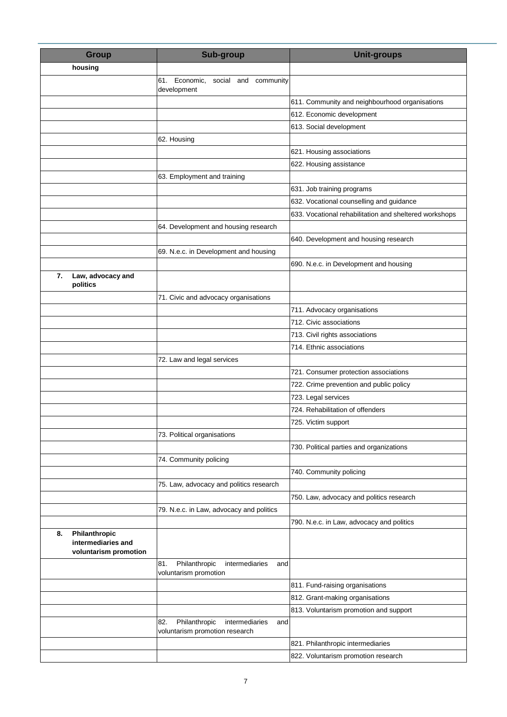| <b>Group</b>                                                       | <b>Sub-group</b>                                                                | <b>Unit-groups</b>                                     |
|--------------------------------------------------------------------|---------------------------------------------------------------------------------|--------------------------------------------------------|
| housing                                                            |                                                                                 |                                                        |
|                                                                    | 61. Economic,<br>social and community                                           |                                                        |
|                                                                    | development                                                                     |                                                        |
|                                                                    |                                                                                 | 611. Community and neighbourhood organisations         |
|                                                                    |                                                                                 | 612. Economic development                              |
|                                                                    |                                                                                 | 613. Social development                                |
|                                                                    | 62. Housing                                                                     |                                                        |
|                                                                    |                                                                                 | 621. Housing associations                              |
|                                                                    |                                                                                 | 622. Housing assistance                                |
|                                                                    | 63. Employment and training                                                     |                                                        |
|                                                                    |                                                                                 | 631. Job training programs                             |
|                                                                    |                                                                                 | 632. Vocational counselling and guidance               |
|                                                                    |                                                                                 | 633. Vocational rehabilitation and sheltered workshops |
|                                                                    | 64. Development and housing research                                            |                                                        |
|                                                                    |                                                                                 | 640. Development and housing research                  |
|                                                                    | 69. N.e.c. in Development and housing                                           |                                                        |
|                                                                    |                                                                                 | 690. N.e.c. in Development and housing                 |
| Law, advocacy and<br>7.<br>politics                                |                                                                                 |                                                        |
|                                                                    | 71. Civic and advocacy organisations                                            |                                                        |
|                                                                    |                                                                                 | 711. Advocacy organisations                            |
|                                                                    |                                                                                 | 712. Civic associations                                |
|                                                                    |                                                                                 | 713. Civil rights associations                         |
|                                                                    |                                                                                 | 714. Ethnic associations                               |
|                                                                    | 72. Law and legal services                                                      |                                                        |
|                                                                    |                                                                                 | 721. Consumer protection associations                  |
|                                                                    |                                                                                 | 722. Crime prevention and public policy                |
|                                                                    |                                                                                 | 723. Legal services                                    |
|                                                                    |                                                                                 | 724. Rehabilitation of offenders                       |
|                                                                    |                                                                                 | 725. Victim support                                    |
|                                                                    | 73. Political organisations                                                     |                                                        |
|                                                                    |                                                                                 | 730. Political parties and organizations               |
|                                                                    | 74. Community policing                                                          |                                                        |
|                                                                    |                                                                                 | 740. Community policing                                |
|                                                                    | 75. Law, advocacy and politics research                                         |                                                        |
|                                                                    |                                                                                 | 750. Law, advocacy and politics research               |
|                                                                    | 79. N.e.c. in Law, advocacy and politics                                        |                                                        |
|                                                                    |                                                                                 | 790. N.e.c. in Law, advocacy and politics              |
| Philanthropic<br>8.<br>intermediaries and<br>voluntarism promotion |                                                                                 |                                                        |
|                                                                    | 81.<br>Philanthropic<br>intermediaries<br>and<br>voluntarism promotion          |                                                        |
|                                                                    |                                                                                 | 811. Fund-raising organisations                        |
|                                                                    |                                                                                 | 812. Grant-making organisations                        |
|                                                                    |                                                                                 | 813. Voluntarism promotion and support                 |
|                                                                    | Philanthropic<br>82.<br>intermediaries<br>and<br>voluntarism promotion research |                                                        |
|                                                                    |                                                                                 | 821. Philanthropic intermediaries                      |
|                                                                    |                                                                                 | 822. Voluntarism promotion research                    |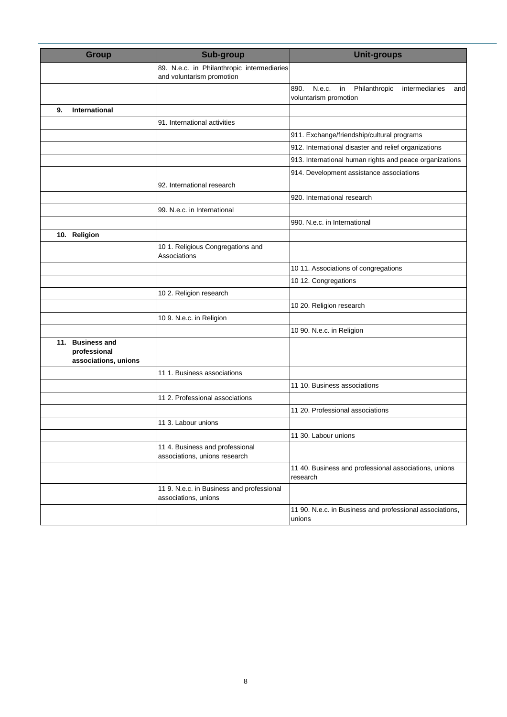| <b>Group</b>                                             | <b>Sub-group</b>                                                        | <b>Unit-groups</b>                                                                      |
|----------------------------------------------------------|-------------------------------------------------------------------------|-----------------------------------------------------------------------------------------|
|                                                          | 89. N.e.c. in Philanthropic intermediaries<br>and voluntarism promotion |                                                                                         |
|                                                          |                                                                         | 890.<br>N.e.c.<br>in<br>Philanthropic<br>intermediaries<br>and<br>voluntarism promotion |
| 9.<br>International                                      |                                                                         |                                                                                         |
|                                                          | 91. International activities                                            |                                                                                         |
|                                                          |                                                                         | 911. Exchange/friendship/cultural programs                                              |
|                                                          |                                                                         | 912. International disaster and relief organizations                                    |
|                                                          |                                                                         | 913. International human rights and peace organizations                                 |
|                                                          |                                                                         | 914. Development assistance associations                                                |
|                                                          | 92. International research                                              |                                                                                         |
|                                                          |                                                                         | 920. International research                                                             |
|                                                          | 99. N.e.c. in International                                             |                                                                                         |
|                                                          |                                                                         | 990. N.e.c. in International                                                            |
| 10. Religion                                             |                                                                         |                                                                                         |
|                                                          | 10 1. Religious Congregations and<br>Associations                       |                                                                                         |
|                                                          |                                                                         | 10 11. Associations of congregations                                                    |
|                                                          |                                                                         | 10 12. Congregations                                                                    |
|                                                          | 10 2. Religion research                                                 |                                                                                         |
|                                                          |                                                                         | 10 20. Religion research                                                                |
|                                                          | 10 9. N.e.c. in Religion                                                |                                                                                         |
|                                                          |                                                                         | 10 90. N.e.c. in Religion                                                               |
| 11. Business and<br>professional<br>associations, unions |                                                                         |                                                                                         |
|                                                          | 11 1. Business associations                                             |                                                                                         |
|                                                          |                                                                         | 11 10. Business associations                                                            |
|                                                          | 11 2. Professional associations                                         |                                                                                         |
|                                                          |                                                                         | 11 20. Professional associations                                                        |
|                                                          | 11 3. Labour unions                                                     |                                                                                         |
|                                                          |                                                                         | 11 30. Labour unions                                                                    |
|                                                          | 11 4. Business and professional<br>associations, unions research        |                                                                                         |
|                                                          |                                                                         | 11 40. Business and professional associations, unions<br>research                       |
|                                                          | 11 9. N.e.c. in Business and professional<br>associations, unions       |                                                                                         |
|                                                          |                                                                         | 11 90. N.e.c. in Business and professional associations,<br>unions                      |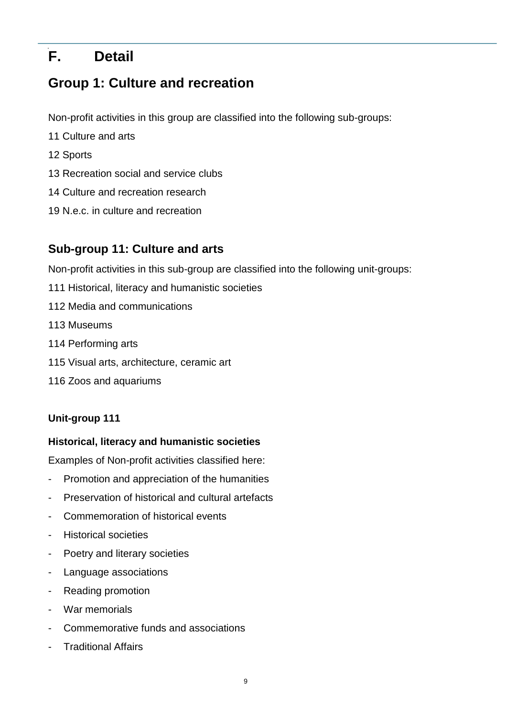# <span id="page-16-0"></span>**F. Detail**

# **Group 1: Culture and recreation**

Non-profit activities in this group are classified into the following sub-groups:

- 11 Culture and arts
- 12 Sports
- 13 Recreation social and service clubs
- 14 Culture and recreation research
- 19 N.e.c. in culture and recreation

## **Sub-group 11: Culture and arts**

Non-profit activities in this sub-group are classified into the following unit-groups:

- 111 Historical, literacy and humanistic societies
- 112 Media and communications
- 113 Museums
- 114 Performing arts
- 115 Visual arts, architecture, ceramic art
- 116 Zoos and aquariums

#### **Unit-group 111**

#### **Historical, literacy and humanistic societies**

Examples of Non-profit activities classified here:

- Promotion and appreciation of the humanities
- Preservation of historical and cultural artefacts
- Commemoration of historical events
- Historical societies
- Poetry and literary societies
- Language associations
- Reading promotion
- War memorials
- Commemorative funds and associations
- Traditional Affairs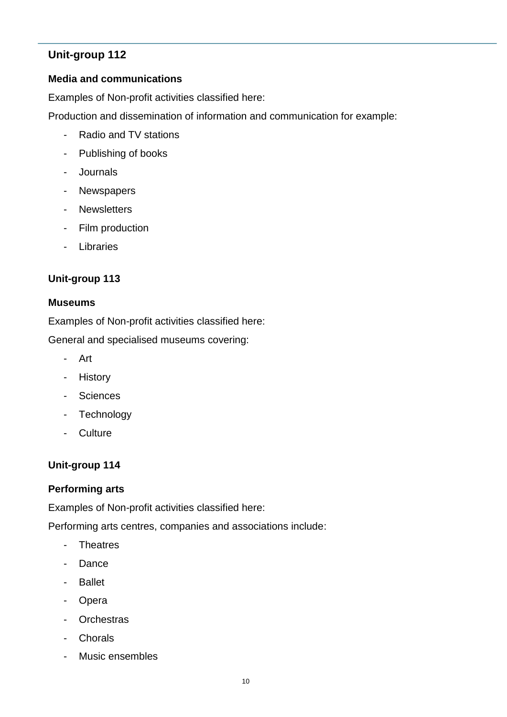#### **Media and communications**

Examples of Non-profit activities classified here:

Production and dissemination of information and communication for example:

- Radio and TV stations
- Publishing of books
- Journals
- Newspapers
- Newsletters
- Film production
- Libraries

#### **Unit-group 113**

#### **Museums**

Examples of Non-profit activities classified here:

General and specialised museums covering:

- Art
- History
- Sciences
- Technology
- Culture

## **Unit-group 114**

#### **Performing arts**

Examples of Non-profit activities classified here:

Performing arts centres, companies and associations include:

- Theatres
- Dance
- Ballet
- Opera
- Orchestras
- Chorals
- Music ensembles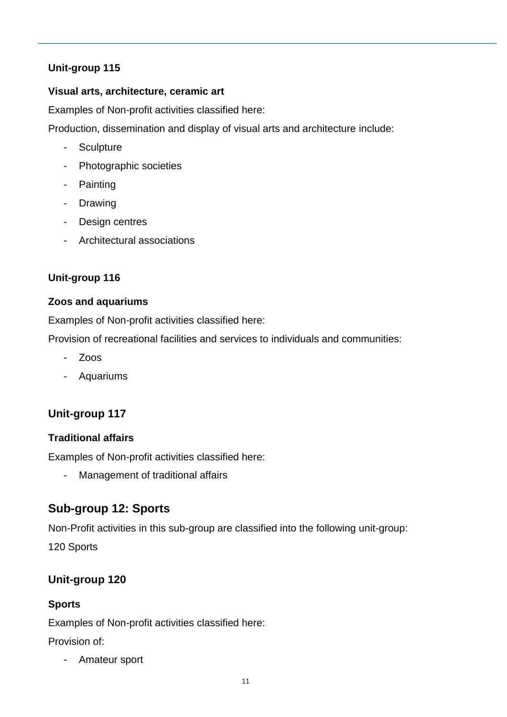#### **Visual arts, architecture, ceramic art**

Examples of Non-profit activities classified here:

Production, dissemination and display of visual arts and architecture include:

- Sculpture
- Photographic societies
- Painting
- Drawing
- Design centres
- Architectural associations

## **Unit-group 116**

#### **Zoos and aquariums**

Examples of Non-profit activities classified here:

Provision of recreational facilities and services to individuals and communities:

- Zoos
- Aquariums

## **Unit-group 117**

#### **Traditional affairs**

Examples of Non-profit activities classified here:

- Management of traditional affairs

## **Sub-group 12: Sports**

Non-Profit activities in this sub-group are classified into the following unit-group:

120 Sports

## **Unit-group 120**

## **Sports**

Examples of Non-profit activities classified here:

Provision of:

- Amateur sport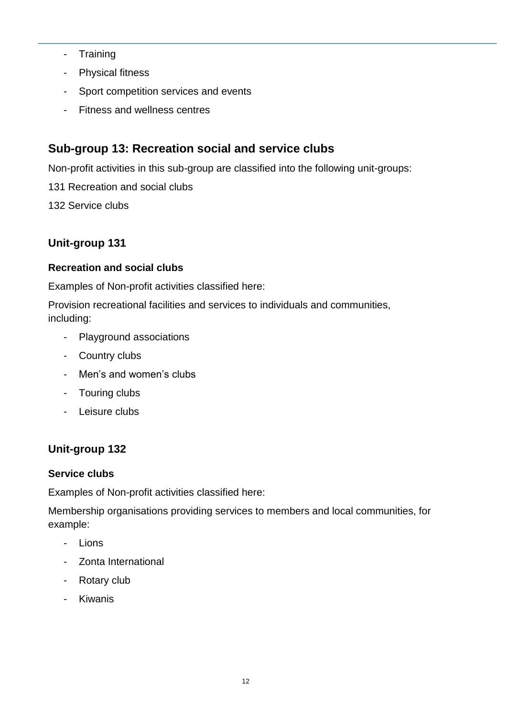- Training
- Physical fitness
- Sport competition services and events
- Fitness and wellness centres

## **Sub-group 13: Recreation social and service clubs**

Non-profit activities in this sub-group are classified into the following unit-groups:

- 131 Recreation and social clubs
- 132 Service clubs

## **Unit-group 131**

#### **Recreation and social clubs**

Examples of Non-profit activities classified here:

Provision recreational facilities and services to individuals and communities, including:

- Playground associations
- Country clubs
- Men's and women's clubs
- Touring clubs
- Leisure clubs

## **Unit-group 132**

#### **Service clubs**

Examples of Non-profit activities classified here:

Membership organisations providing services to members and local communities, for example:

- Lions
- Zonta International
- Rotary club
- Kiwanis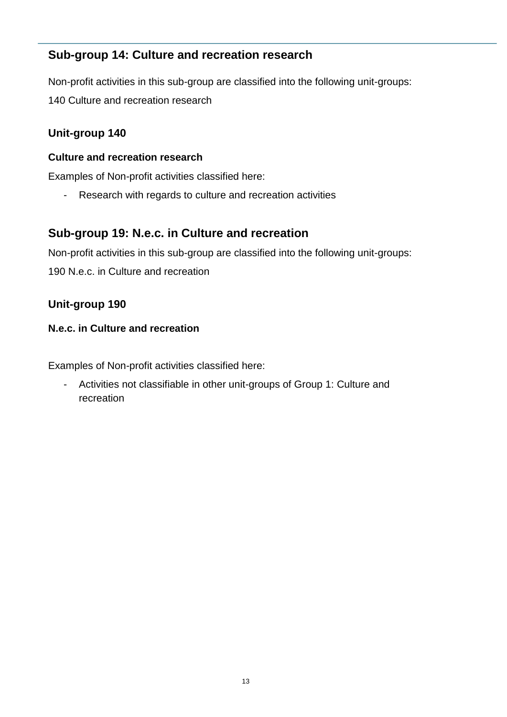## **Sub-group 14: Culture and recreation research**

Non-profit activities in this sub-group are classified into the following unit-groups: 140 Culture and recreation research

## **Unit-group 140**

#### **Culture and recreation research**

Examples of Non-profit activities classified here:

- Research with regards to culture and recreation activities

## **Sub-group 19: N.e.c. in Culture and recreation**

Non-profit activities in this sub-group are classified into the following unit-groups: 190 N.e.c. in Culture and recreation

## **Unit-group 190**

#### **N.e.c. in Culture and recreation**

Examples of Non-profit activities classified here:

- Activities not classifiable in other unit-groups of Group 1: Culture and recreation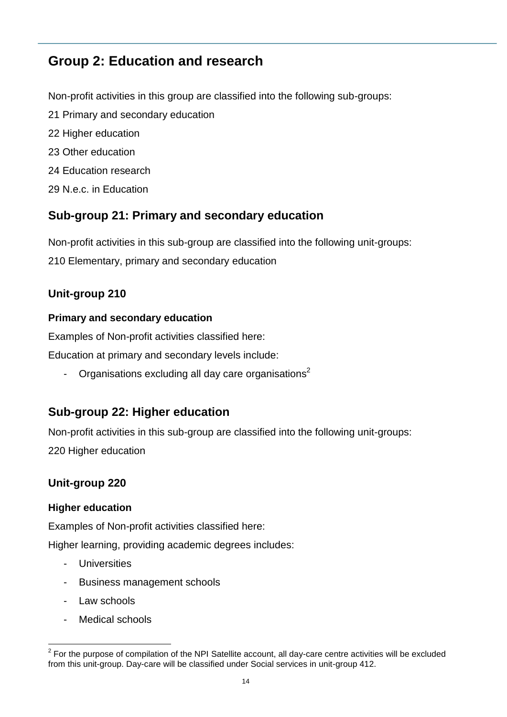# **Group 2: Education and research**

Non-profit activities in this group are classified into the following sub-groups: 21 Primary and secondary education 22 Higher education 23 Other education 24 Education research

29 N.e.c. in Education

## **Sub-group 21: Primary and secondary education**

Non-profit activities in this sub-group are classified into the following unit-groups:

210 Elementary, primary and secondary education

## **Unit-group 210**

#### **Primary and secondary education**

Examples of Non-profit activities classified here:

Education at primary and secondary levels include:

- Organisations excluding all day care organisations<sup>2</sup>

## **Sub-group 22: Higher education**

Non-profit activities in this sub-group are classified into the following unit-groups: 220 Higher education

## **Unit-group 220**

#### **Higher education**

Examples of Non-profit activities classified here:

Higher learning, providing academic degrees includes:

- Universities
- Business management schools
- Law schools
- Medical schools

 2 For the purpose of compilation of the NPI Satellite account, all day-care centre activities will be excluded from this unit-group. Day-care will be classified under Social services in unit-group 412.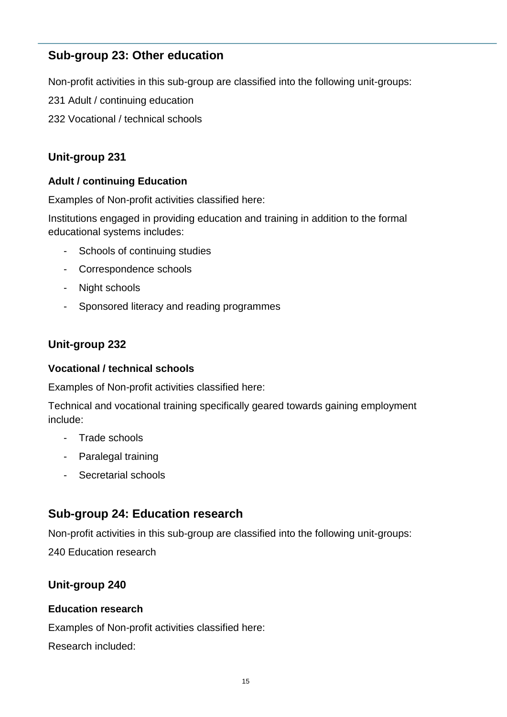## **Sub-group 23: Other education**

Non-profit activities in this sub-group are classified into the following unit-groups:

- 231 Adult / continuing education
- 232 Vocational / technical schools

## **Unit-group 231**

#### **Adult / continuing Education**

Examples of Non-profit activities classified here:

Institutions engaged in providing education and training in addition to the formal educational systems includes:

- Schools of continuing studies
- Correspondence schools
- Night schools
- Sponsored literacy and reading programmes

#### **Unit-group 232**

#### **Vocational / technical schools**

Examples of Non-profit activities classified here:

Technical and vocational training specifically geared towards gaining employment include:

- Trade schools
- Paralegal training
- Secretarial schools

## **Sub-group 24: Education research**

Non-profit activities in this sub-group are classified into the following unit-groups:

240 Education research

#### **Unit-group 240**

#### **Education research**

Examples of Non-profit activities classified here:

Research included: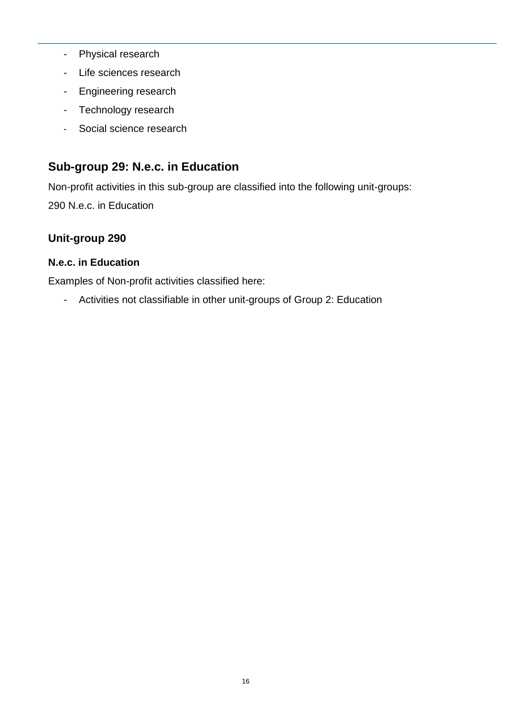- Physical research
- Life sciences research
- Engineering research
- Technology research
- Social science research

## **Sub-group 29: N.e.c. in Education**

Non-profit activities in this sub-group are classified into the following unit-groups: 290 N.e.c. in Education

## **Unit-group 290**

#### **N.e.c. in Education**

Examples of Non-profit activities classified here:

- Activities not classifiable in other unit-groups of Group 2: Education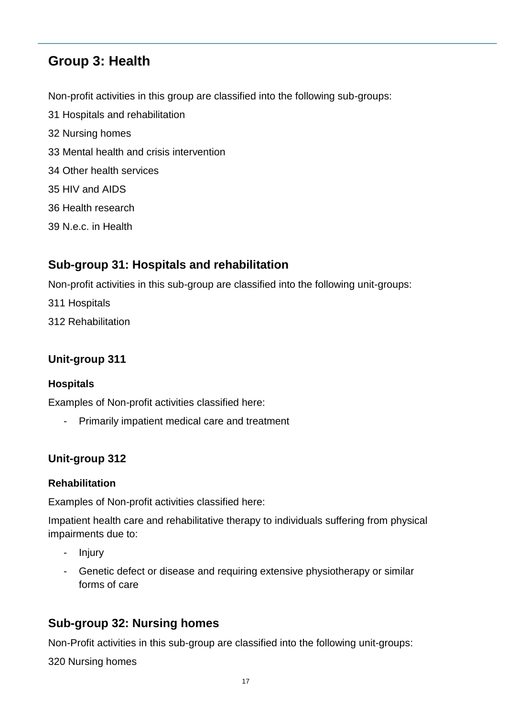# **Group 3: Health**

Non-profit activities in this group are classified into the following sub-groups: 31 Hospitals and rehabilitation 32 Nursing homes 33 Mental health and crisis intervention 34 Other health services 35 HIV and AIDS 36 Health research

39 N.e.c. in Health

## **Sub-group 31: Hospitals and rehabilitation**

Non-profit activities in this sub-group are classified into the following unit-groups:

311 Hospitals

312 Rehabilitation

## **Unit-group 311**

#### **Hospitals**

Examples of Non-profit activities classified here:

- Primarily impatient medical care and treatment

## **Unit-group 312**

#### **Rehabilitation**

Examples of Non-profit activities classified here:

Impatient health care and rehabilitative therapy to individuals suffering from physical impairments due to:

- Injury
- Genetic defect or disease and requiring extensive physiotherapy or similar forms of care

# **Sub-group 32: Nursing homes**

Non-Profit activities in this sub-group are classified into the following unit-groups:

320 Nursing homes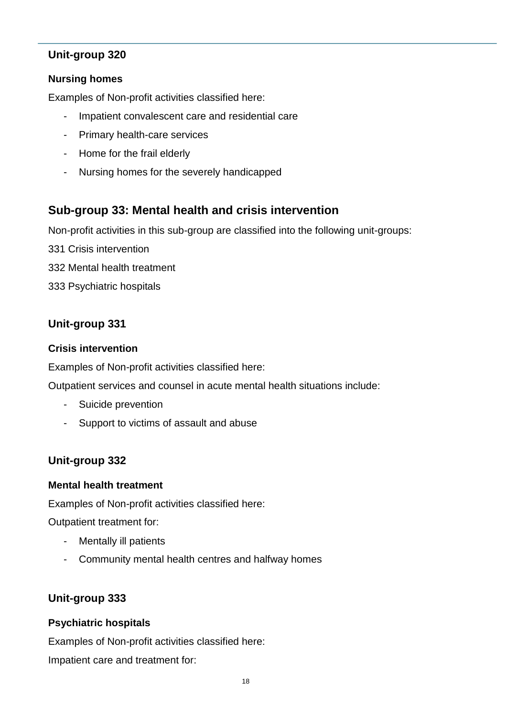#### **Nursing homes**

Examples of Non-profit activities classified here:

- Impatient convalescent care and residential care
- Primary health-care services
- Home for the frail elderly
- Nursing homes for the severely handicapped

## **Sub-group 33: Mental health and crisis intervention**

Non-profit activities in this sub-group are classified into the following unit-groups:

- 331 Crisis intervention
- 332 Mental health treatment
- 333 Psychiatric hospitals

## **Unit-group 331**

#### **Crisis intervention**

Examples of Non-profit activities classified here:

Outpatient services and counsel in acute mental health situations include:

- Suicide prevention
- Support to victims of assault and abuse

## **Unit-group 332**

#### **Mental health treatment**

Examples of Non-profit activities classified here:

Outpatient treatment for:

- Mentally ill patients
- Community mental health centres and halfway homes

## **Unit-group 333**

#### **Psychiatric hospitals**

Examples of Non-profit activities classified here: Impatient care and treatment for: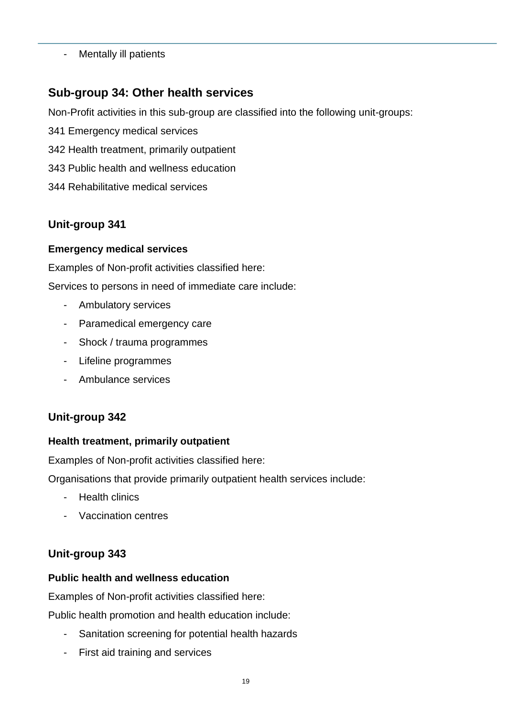- Mentally ill patients

## **Sub-group 34: Other health services**

Non-Profit activities in this sub-group are classified into the following unit-groups:

- 341 Emergency medical services
- 342 Health treatment, primarily outpatient
- 343 Public health and wellness education
- 344 Rehabilitative medical services

## **Unit-group 341**

#### **Emergency medical services**

Examples of Non-profit activities classified here:

Services to persons in need of immediate care include:

- Ambulatory services
- Paramedical emergency care
- Shock / trauma programmes
- Lifeline programmes
- Ambulance services

## **Unit-group 342**

#### **Health treatment, primarily outpatient**

Examples of Non-profit activities classified here:

Organisations that provide primarily outpatient health services include:

- **Health clinics**
- Vaccination centres

## **Unit-group 343**

#### **Public health and wellness education**

Examples of Non-profit activities classified here:

Public health promotion and health education include:

- Sanitation screening for potential health hazards
- First aid training and services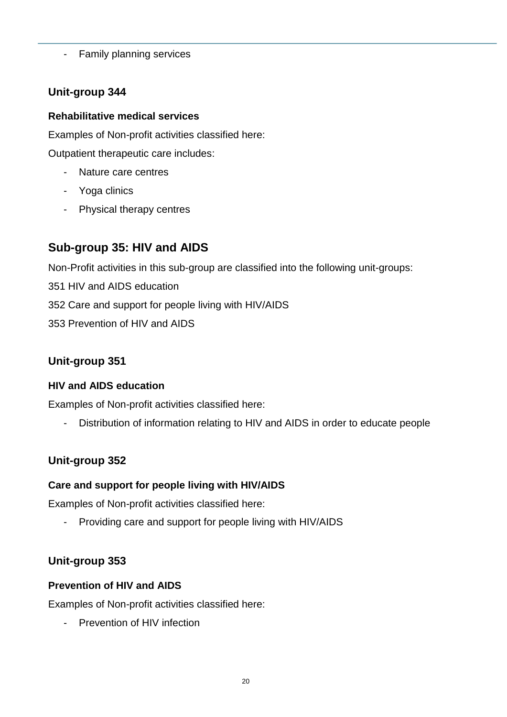- Family planning services

## **Unit-group 344**

#### **Rehabilitative medical services**

Examples of Non-profit activities classified here:

Outpatient therapeutic care includes:

- Nature care centres
- Yoga clinics
- Physical therapy centres

# **Sub-group 35: HIV and AIDS**

Non-Profit activities in this sub-group are classified into the following unit-groups:

351 HIV and AIDS education

352 Care and support for people living with HIV/AIDS

353 Prevention of HIV and AIDS

## **Unit-group 351**

#### **HIV and AIDS education**

Examples of Non-profit activities classified here:

- Distribution of information relating to HIV and AIDS in order to educate people

## **Unit-group 352**

## **Care and support for people living with HIV/AIDS**

Examples of Non-profit activities classified here:

- Providing care and support for people living with HIV/AIDS

## **Unit-group 353**

#### **Prevention of HIV and AIDS**

Examples of Non-profit activities classified here:

- Prevention of HIV infection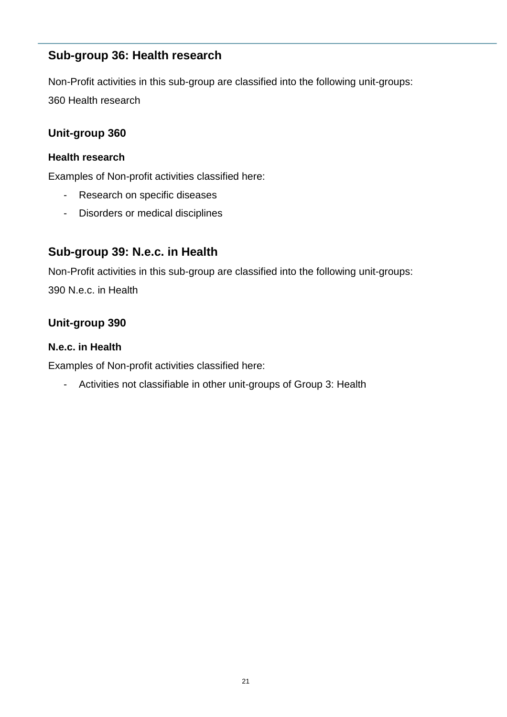## **Sub-group 36: Health research**

Non-Profit activities in this sub-group are classified into the following unit-groups: 360 Health research

## **Unit-group 360**

#### **Health research**

Examples of Non-profit activities classified here:

- Research on specific diseases
- Disorders or medical disciplines

## **Sub-group 39: N.e.c. in Health**

Non-Profit activities in this sub-group are classified into the following unit-groups: 390 N.e.c. in Health

## **Unit-group 390**

#### **N.e.c. in Health**

Examples of Non-profit activities classified here:

- Activities not classifiable in other unit-groups of Group 3: Health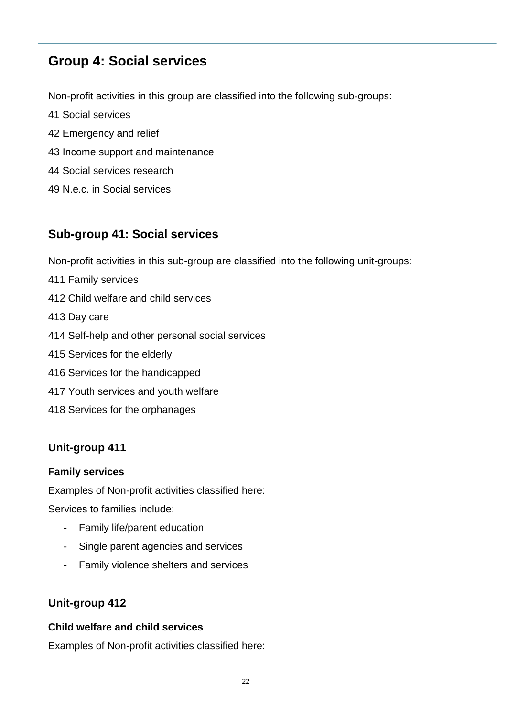# **Group 4: Social services**

Non-profit activities in this group are classified into the following sub-groups:

- 41 Social services
- 42 Emergency and relief
- 43 Income support and maintenance
- 44 Social services research
- 49 N.e.c. in Social services

## **Sub-group 41: Social services**

Non-profit activities in this sub-group are classified into the following unit-groups:

- 411 Family services
- 412 Child welfare and child services
- 413 Day care
- 414 Self-help and other personal social services
- 415 Services for the elderly
- 416 Services for the handicapped
- 417 Youth services and youth welfare
- 418 Services for the orphanages

#### **Unit-group 411**

#### **Family services**

Examples of Non-profit activities classified here:

Services to families include:

- Family life/parent education
- Single parent agencies and services
- Family violence shelters and services

#### **Unit-group 412**

#### **Child welfare and child services**

Examples of Non-profit activities classified here: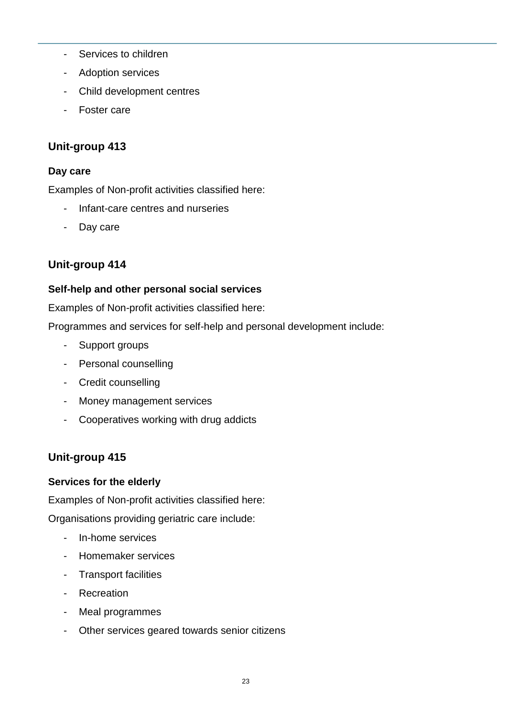- Services to children
- Adoption services
- Child development centres
- Foster care

#### **Day care**

Examples of Non-profit activities classified here:

- Infant-care centres and nurseries
- Day care

## **Unit-group 414**

## **Self-help and other personal social services**

Examples of Non-profit activities classified here:

Programmes and services for self-help and personal development include:

- Support groups
- Personal counselling
- Credit counselling
- Money management services
- Cooperatives working with drug addicts

## **Unit-group 415**

## **Services for the elderly**

Examples of Non-profit activities classified here:

Organisations providing geriatric care include:

- In-home services
- Homemaker services
- Transport facilities
- Recreation
- Meal programmes
- Other services geared towards senior citizens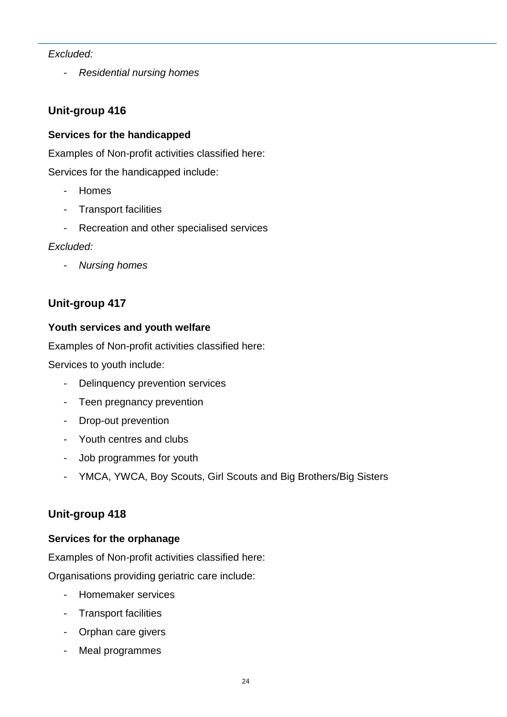#### *Excluded:*

- *Residential nursing homes*

## **Unit-group 416**

#### **Services for the handicapped**

Examples of Non-profit activities classified here:

Services for the handicapped include:

- Homes
- Transport facilities
- Recreation and other specialised services

#### *Excluded:*

- *Nursing homes*

## **Unit-group 417**

#### **Youth services and youth welfare**

Examples of Non-profit activities classified here:

Services to youth include:

- Delinquency prevention services
- Teen pregnancy prevention
- Drop-out prevention
- Youth centres and clubs
- Job programmes for youth
- YMCA, YWCA, Boy Scouts, Girl Scouts and Big Brothers/Big Sisters

## **Unit-group 418**

#### **Services for the orphanage**

Examples of Non-profit activities classified here:

Organisations providing geriatric care include:

- Homemaker services
- Transport facilities
- Orphan care givers
- Meal programmes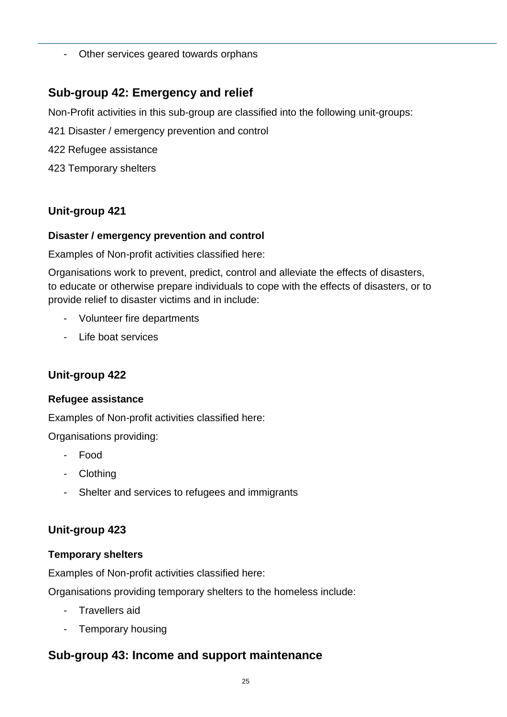- Other services geared towards orphans

## **Sub-group 42: Emergency and relief**

Non-Profit activities in this sub-group are classified into the following unit-groups:

- 421 Disaster / emergency prevention and control
- 422 Refugee assistance
- 423 Temporary shelters

## **Unit-group 421**

#### **Disaster / emergency prevention and control**

Examples of Non-profit activities classified here:

Organisations work to prevent, predict, control and alleviate the effects of disasters, to educate or otherwise prepare individuals to cope with the effects of disasters, or to provide relief to disaster victims and in include:

- Volunteer fire departments
- Life boat services

## **Unit-group 422**

#### **Refugee assistance**

Examples of Non-profit activities classified here:

Organisations providing:

- Food
- Clothing
- Shelter and services to refugees and immigrants

## **Unit-group 423**

#### **Temporary shelters**

Examples of Non-profit activities classified here:

Organisations providing temporary shelters to the homeless include:

- Travellers aid
- Temporary housing

# **Sub-group 43: Income and support maintenance**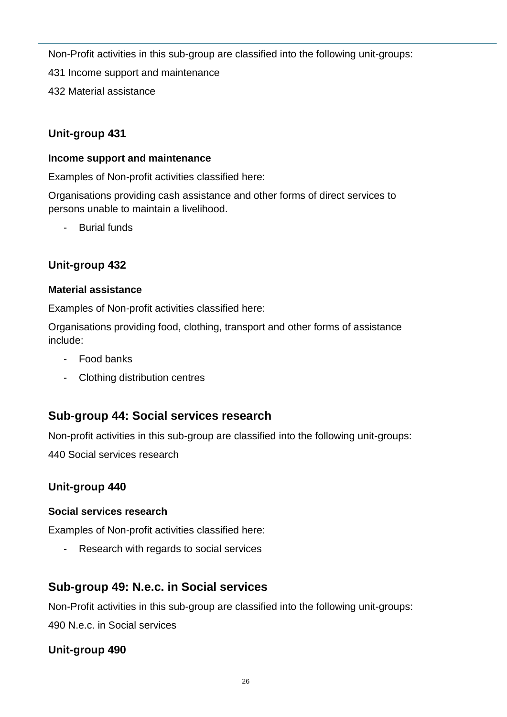Non-Profit activities in this sub-group are classified into the following unit-groups:

431 Income support and maintenance

432 Material assistance

## **Unit-group 431**

#### **Income support and maintenance**

Examples of Non-profit activities classified here:

Organisations providing cash assistance and other forms of direct services to persons unable to maintain a livelihood.

Burial funds

## **Unit-group 432**

## **Material assistance**

Examples of Non-profit activities classified here:

Organisations providing food, clothing, transport and other forms of assistance include:

- Food banks
- Clothing distribution centres

# **Sub-group 44: Social services research**

Non-profit activities in this sub-group are classified into the following unit-groups:

440 Social services research

## **Unit-group 440**

## **Social services research**

Examples of Non-profit activities classified here:

- Research with regards to social services

# **Sub-group 49: N.e.c. in Social services**

Non-Profit activities in this sub-group are classified into the following unit-groups: 490 N.e.c. in Social services

## **Unit-group 490**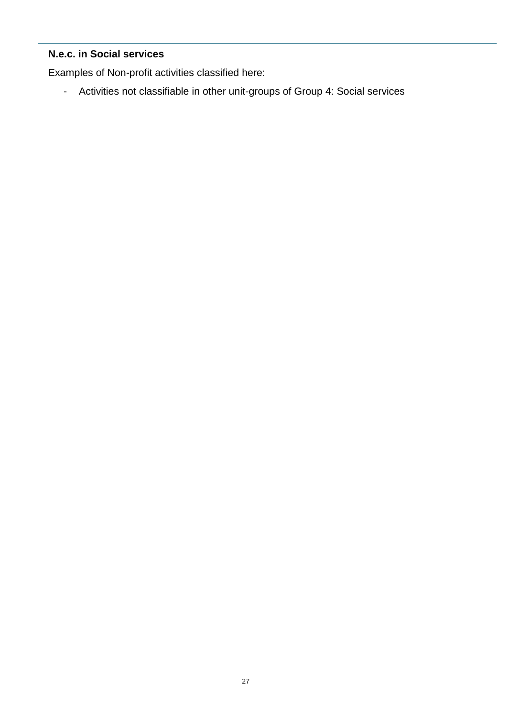## **N.e.c. in Social services**

Examples of Non-profit activities classified here:

- Activities not classifiable in other unit-groups of Group 4: Social services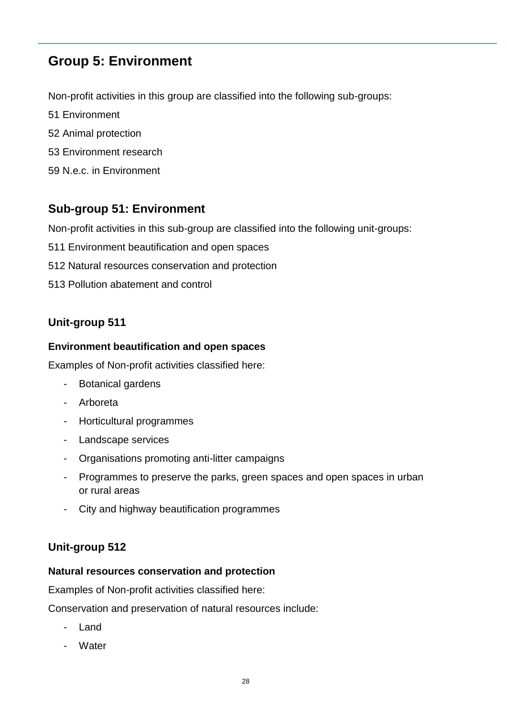# **Group 5: Environment**

Non-profit activities in this group are classified into the following sub-groups:

- 51 Environment
- 52 Animal protection
- 53 Environment research
- 59 N.e.c. in Environment

# **Sub-group 51: Environment**

Non-profit activities in this sub-group are classified into the following unit-groups:

- 511 Environment beautification and open spaces
- 512 Natural resources conservation and protection
- 513 Pollution abatement and control

## **Unit-group 511**

#### **Environment beautification and open spaces**

Examples of Non-profit activities classified here:

- Botanical gardens
- Arboreta
- Horticultural programmes
- Landscape services
- Organisations promoting anti-litter campaigns
- Programmes to preserve the parks, green spaces and open spaces in urban or rural areas
- City and highway beautification programmes

## **Unit-group 512**

#### **Natural resources conservation and protection**

Examples of Non-profit activities classified here:

Conservation and preservation of natural resources include:

- Land
- **Water**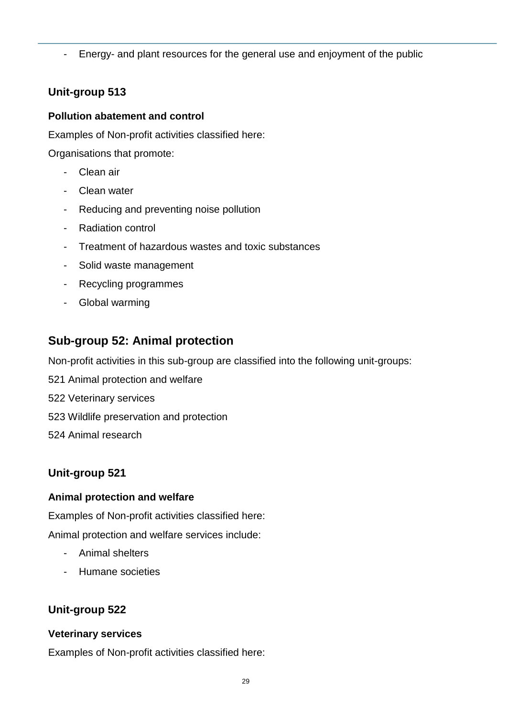- Energy- and plant resources for the general use and enjoyment of the public

## **Unit-group 513**

#### **Pollution abatement and control**

Examples of Non-profit activities classified here:

Organisations that promote:

- Clean air
- Clean water
- Reducing and preventing noise pollution
- Radiation control
- Treatment of hazardous wastes and toxic substances
- Solid waste management
- Recycling programmes
- Global warming

# **Sub-group 52: Animal protection**

Non-profit activities in this sub-group are classified into the following unit-groups:

- 521 Animal protection and welfare
- 522 Veterinary services
- 523 Wildlife preservation and protection
- 524 Animal research

## **Unit-group 521**

## **Animal protection and welfare**

Examples of Non-profit activities classified here:

Animal protection and welfare services include:

- Animal shelters
- Humane societies

## **Unit-group 522**

## **Veterinary services**

Examples of Non-profit activities classified here: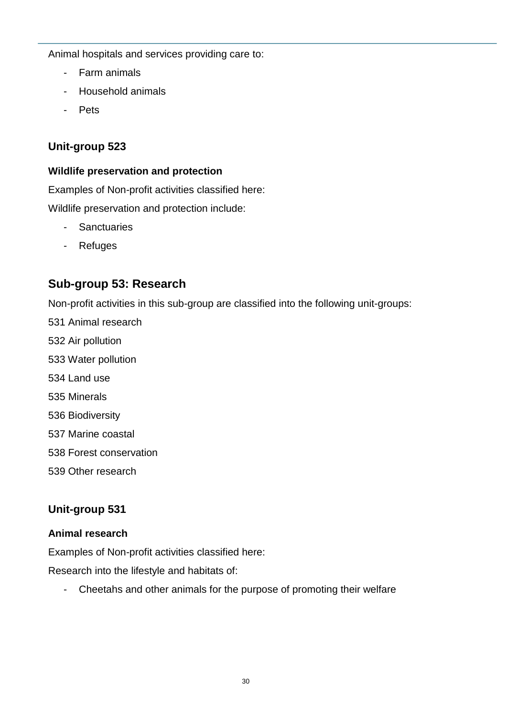Animal hospitals and services providing care to:

- Farm animals
- Household animals
- Pets

## **Unit-group 523**

#### **Wildlife preservation and protection**

Examples of Non-profit activities classified here: Wildlife preservation and protection include:

- Sanctuaries
- Refuges

# **Sub-group 53: Research**

Non-profit activities in this sub-group are classified into the following unit-groups:

- 531 Animal research
- 532 Air pollution
- 533 Water pollution
- 534 Land use
- 535 Minerals
- 536 Biodiversity
- 537 Marine coastal
- 538 Forest conservation
- 539 Other research

## **Unit-group 531**

#### **Animal research**

Examples of Non-profit activities classified here:

Research into the lifestyle and habitats of:

- Cheetahs and other animals for the purpose of promoting their welfare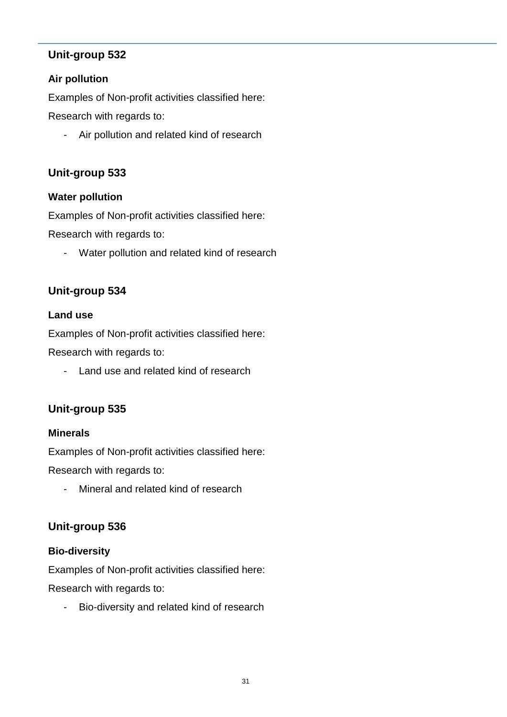#### **Air pollution**

Examples of Non-profit activities classified here:

Research with regards to:

- Air pollution and related kind of research

## **Unit-group 533**

#### **Water pollution**

Examples of Non-profit activities classified here:

Research with regards to:

- Water pollution and related kind of research

## **Unit-group 534**

#### **Land use**

Examples of Non-profit activities classified here:

Research with regards to:

- Land use and related kind of research

## **Unit-group 535**

#### **Minerals**

Examples of Non-profit activities classified here:

Research with regards to:

- Mineral and related kind of research

## **Unit-group 536**

#### **Bio-diversity**

Examples of Non-profit activities classified here:

Research with regards to:

- Bio-diversity and related kind of research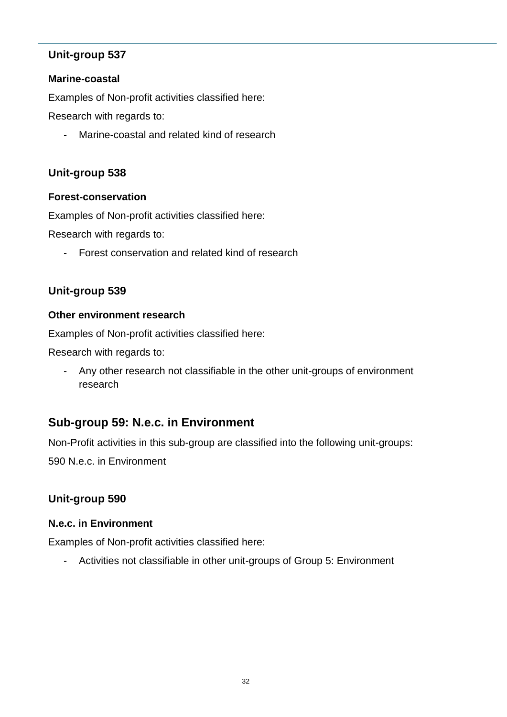#### **Marine-coastal**

Examples of Non-profit activities classified here:

Research with regards to:

- Marine-coastal and related kind of research

## **Unit-group 538**

#### **Forest-conservation**

Examples of Non-profit activities classified here:

Research with regards to:

- Forest conservation and related kind of research

## **Unit-group 539**

#### **Other environment research**

Examples of Non-profit activities classified here:

Research with regards to:

- Any other research not classifiable in the other unit-groups of environment research

# **Sub-group 59: N.e.c. in Environment**

Non-Profit activities in this sub-group are classified into the following unit-groups: 590 N.e.c. in Environment

## **Unit-group 590**

#### **N.e.c. in Environment**

Examples of Non-profit activities classified here:

- Activities not classifiable in other unit-groups of Group 5: Environment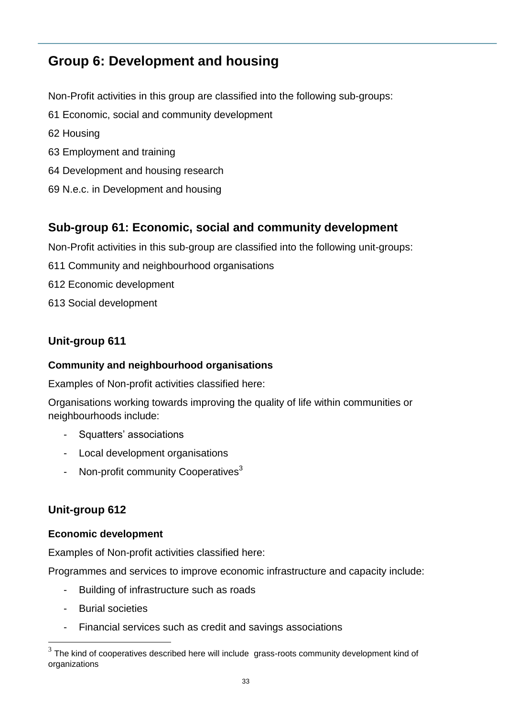# **Group 6: Development and housing**

Non-Profit activities in this group are classified into the following sub-groups:

- 61 Economic, social and community development
- 62 Housing
- 63 Employment and training
- 64 Development and housing research
- 69 N.e.c. in Development and housing

## **Sub-group 61: Economic, social and community development**

Non-Profit activities in this sub-group are classified into the following unit-groups:

- 611 Community and neighbourhood organisations
- 612 Economic development
- 613 Social development

## **Unit-group 611**

#### **Community and neighbourhood organisations**

Examples of Non-profit activities classified here:

Organisations working towards improving the quality of life within communities or neighbourhoods include:

- Squatters' associations
- Local development organisations
- Non-profit community Cooperatives<sup>3</sup>

## **Unit-group 612**

#### **Economic development**

Examples of Non-profit activities classified here:

Programmes and services to improve economic infrastructure and capacity include:

- Building of infrastructure such as roads
- Burial societies

1

- Financial services such as credit and savings associations

 $3$  The kind of cooperatives described here will include grass-roots community development kind of organizations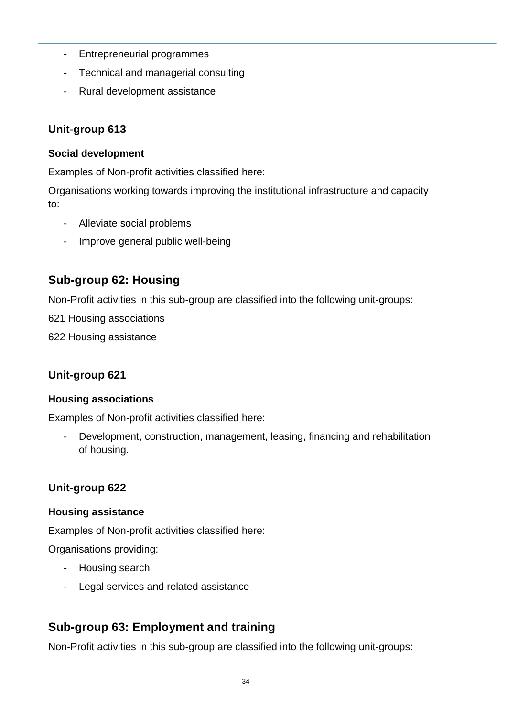- Entrepreneurial programmes
- Technical and managerial consulting
- Rural development assistance

#### **Social development**

Examples of Non-profit activities classified here:

Organisations working towards improving the institutional infrastructure and capacity to:

- Alleviate social problems
- Improve general public well-being

## **Sub-group 62: Housing**

Non-Profit activities in this sub-group are classified into the following unit-groups:

621 Housing associations

622 Housing assistance

## **Unit-group 621**

#### **Housing associations**

Examples of Non-profit activities classified here:

- Development, construction, management, leasing, financing and rehabilitation of housing.

## **Unit-group 622**

#### **Housing assistance**

Examples of Non-profit activities classified here:

Organisations providing:

- Housing search
- Legal services and related assistance

## **Sub-group 63: Employment and training**

Non-Profit activities in this sub-group are classified into the following unit-groups: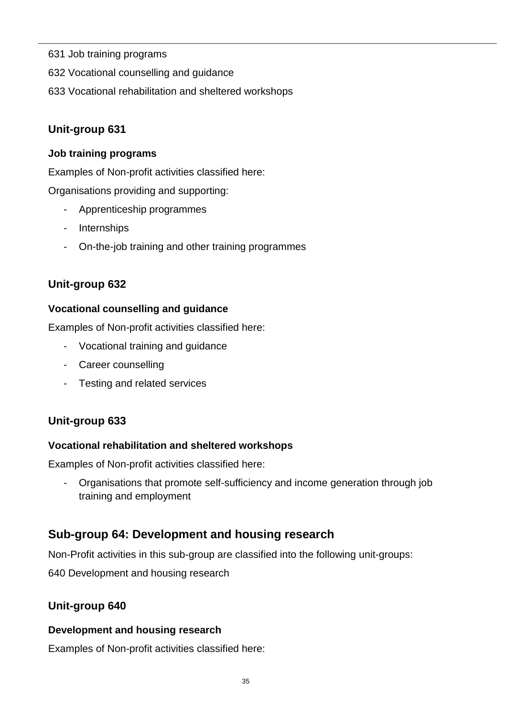- 631 Job training programs
- 632 Vocational counselling and guidance
- 633 Vocational rehabilitation and sheltered workshops

#### **Job training programs**

Examples of Non-profit activities classified here:

Organisations providing and supporting:

- Apprenticeship programmes
- Internships
- On-the-job training and other training programmes

## **Unit-group 632**

#### **Vocational counselling and guidance**

Examples of Non-profit activities classified here:

- Vocational training and guidance
- Career counselling
- Testing and related services

## **Unit-group 633**

#### **Vocational rehabilitation and sheltered workshops**

Examples of Non-profit activities classified here:

- Organisations that promote self-sufficiency and income generation through job training and employment

## **Sub-group 64: Development and housing research**

Non-Profit activities in this sub-group are classified into the following unit-groups:

640 Development and housing research

## **Unit-group 640**

#### **Development and housing research**

Examples of Non-profit activities classified here: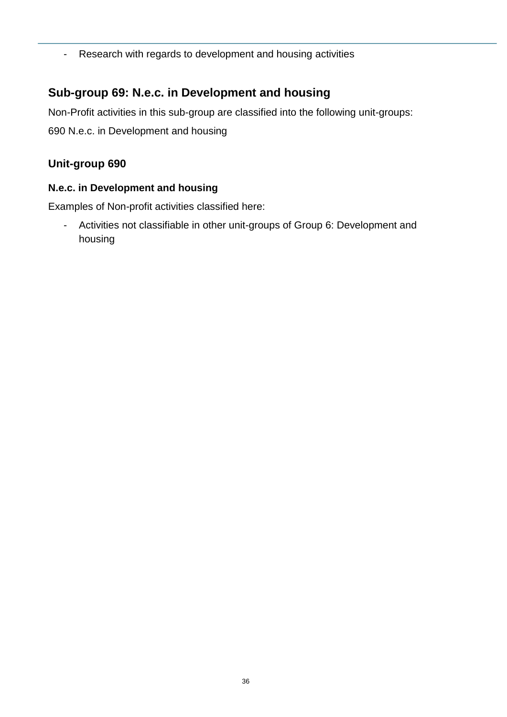- Research with regards to development and housing activities

## **Sub-group 69: N.e.c. in Development and housing**

Non-Profit activities in this sub-group are classified into the following unit-groups: 690 N.e.c. in Development and housing

## **Unit-group 690**

#### **N.e.c. in Development and housing**

Examples of Non-profit activities classified here:

- Activities not classifiable in other unit-groups of Group 6: Development and housing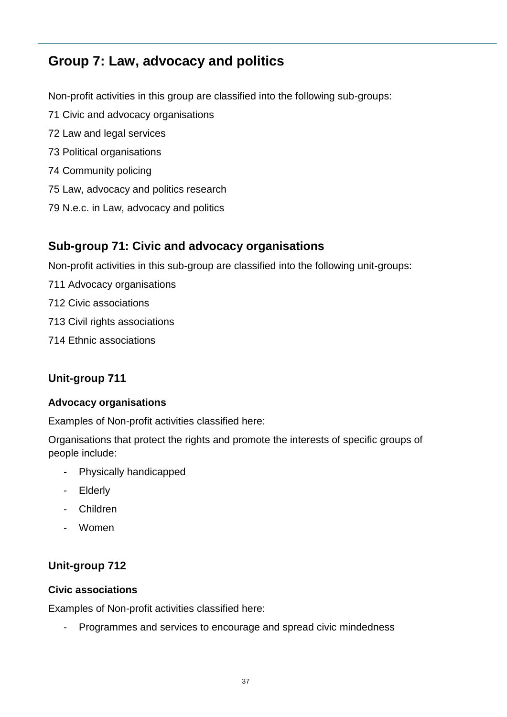# **Group 7: Law, advocacy and politics**

Non-profit activities in this group are classified into the following sub-groups:

- 71 Civic and advocacy organisations
- 72 Law and legal services
- 73 Political organisations
- 74 Community policing
- 75 Law, advocacy and politics research
- 79 N.e.c. in Law, advocacy and politics

## **Sub-group 71: Civic and advocacy organisations**

Non-profit activities in this sub-group are classified into the following unit-groups:

- 711 Advocacy organisations
- 712 Civic associations
- 713 Civil rights associations
- 714 Ethnic associations

## **Unit-group 711**

#### **Advocacy organisations**

Examples of Non-profit activities classified here:

Organisations that protect the rights and promote the interests of specific groups of people include:

- Physically handicapped
- Elderly
- Children
- Women

#### **Unit-group 712**

#### **Civic associations**

Examples of Non-profit activities classified here:

- Programmes and services to encourage and spread civic mindedness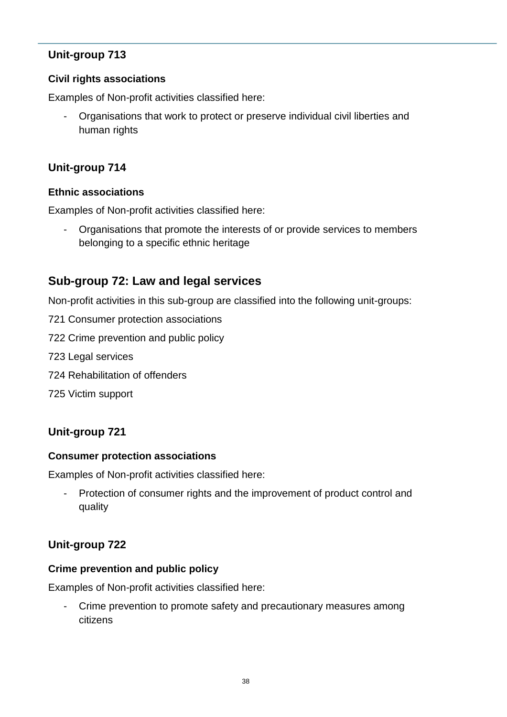#### **Civil rights associations**

Examples of Non-profit activities classified here:

- Organisations that work to protect or preserve individual civil liberties and human rights

#### **Unit-group 714**

#### **Ethnic associations**

Examples of Non-profit activities classified here:

- Organisations that promote the interests of or provide services to members belonging to a specific ethnic heritage

## **Sub-group 72: Law and legal services**

Non-profit activities in this sub-group are classified into the following unit-groups:

- 721 Consumer protection associations
- 722 Crime prevention and public policy
- 723 Legal services
- 724 Rehabilitation of offenders
- 725 Victim support

## **Unit-group 721**

#### **Consumer protection associations**

Examples of Non-profit activities classified here:

- Protection of consumer rights and the improvement of product control and quality

## **Unit-group 722**

#### **Crime prevention and public policy**

Examples of Non-profit activities classified here:

Crime prevention to promote safety and precautionary measures among citizens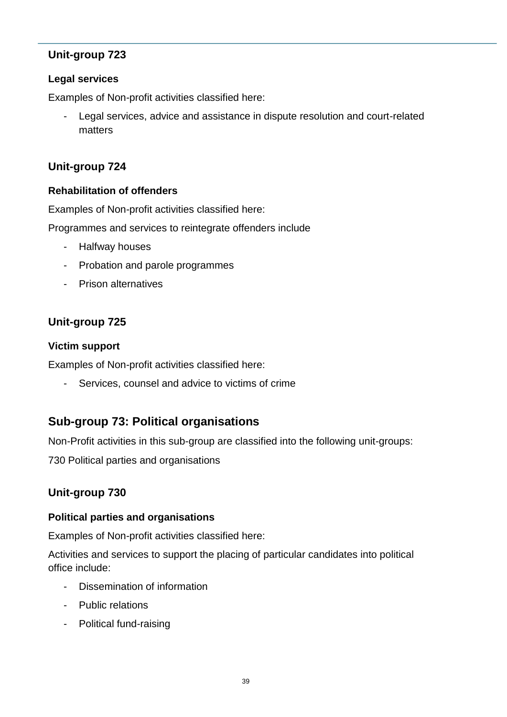#### **Legal services**

Examples of Non-profit activities classified here:

- Legal services, advice and assistance in dispute resolution and court-related matters

## **Unit-group 724**

#### **Rehabilitation of offenders**

Examples of Non-profit activities classified here:

Programmes and services to reintegrate offenders include

- Halfway houses
- Probation and parole programmes
- Prison alternatives

## **Unit-group 725**

#### **Victim support**

Examples of Non-profit activities classified here:

Services, counsel and advice to victims of crime

## **Sub-group 73: Political organisations**

Non-Profit activities in this sub-group are classified into the following unit-groups:

730 Political parties and organisations

## **Unit-group 730**

#### **Political parties and organisations**

Examples of Non-profit activities classified here:

Activities and services to support the placing of particular candidates into political office include:

- Dissemination of information
- Public relations
- Political fund-raising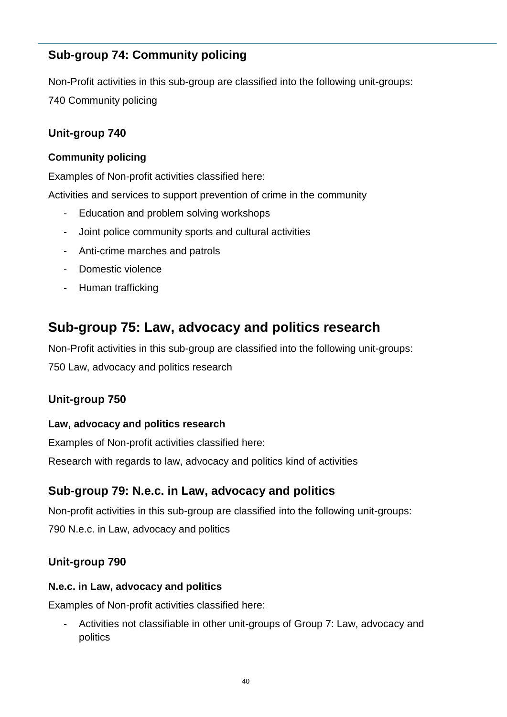# **Sub-group 74: Community policing**

Non-Profit activities in this sub-group are classified into the following unit-groups: 740 Community policing

## **Unit-group 740**

#### **Community policing**

Examples of Non-profit activities classified here:

Activities and services to support prevention of crime in the community

- Education and problem solving workshops
- Joint police community sports and cultural activities
- Anti-crime marches and patrols
- Domestic violence
- Human trafficking

# **Sub-group 75: Law, advocacy and politics research**

Non-Profit activities in this sub-group are classified into the following unit-groups: 750 Law, advocacy and politics research

## **Unit-group 750**

#### **Law, advocacy and politics research**

Examples of Non-profit activities classified here: Research with regards to law, advocacy and politics kind of activities

# **Sub-group 79: N.e.c. in Law, advocacy and politics**

Non-profit activities in this sub-group are classified into the following unit-groups: 790 N.e.c. in Law, advocacy and politics

## **Unit-group 790**

#### **N.e.c. in Law, advocacy and politics**

Examples of Non-profit activities classified here:

- Activities not classifiable in other unit-groups of Group 7: Law, advocacy and politics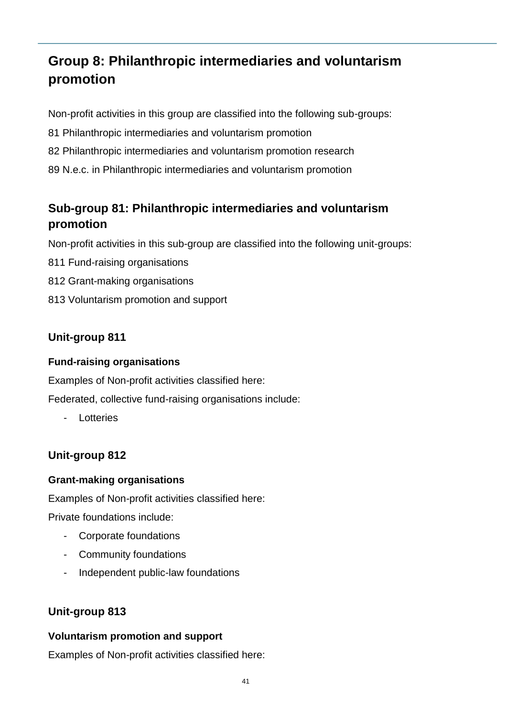# **Group 8: Philanthropic intermediaries and voluntarism promotion**

Non-profit activities in this group are classified into the following sub-groups:

- 81 Philanthropic intermediaries and voluntarism promotion
- 82 Philanthropic intermediaries and voluntarism promotion research
- 89 N.e.c. in Philanthropic intermediaries and voluntarism promotion

# **Sub-group 81: Philanthropic intermediaries and voluntarism promotion**

Non-profit activities in this sub-group are classified into the following unit-groups:

- 811 Fund-raising organisations
- 812 Grant-making organisations
- 813 Voluntarism promotion and support

## **Unit-group 811**

#### **Fund-raising organisations**

Examples of Non-profit activities classified here:

Federated, collective fund-raising organisations include:

**Lotteries** 

## **Unit-group 812**

#### **Grant-making organisations**

Examples of Non-profit activities classified here:

Private foundations include:

- Corporate foundations
- Community foundations
- Independent public-law foundations

## **Unit-group 813**

#### **Voluntarism promotion and support**

Examples of Non-profit activities classified here: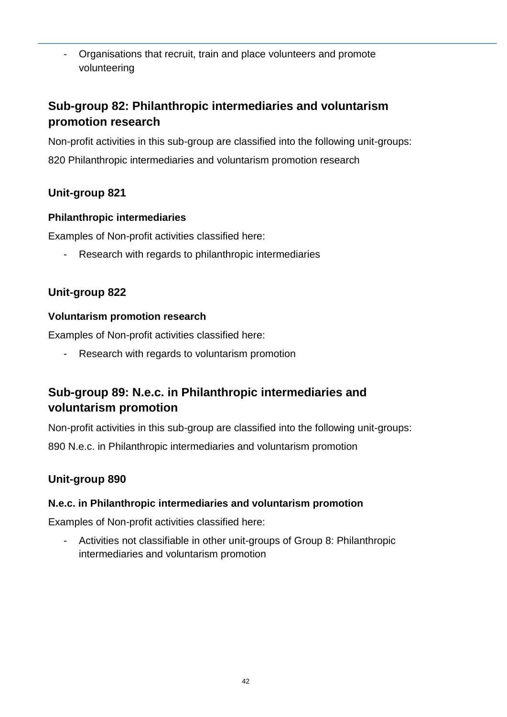- Organisations that recruit, train and place volunteers and promote volunteering

# **Sub-group 82: Philanthropic intermediaries and voluntarism promotion research**

Non-profit activities in this sub-group are classified into the following unit-groups: 820 Philanthropic intermediaries and voluntarism promotion research

## **Unit-group 821**

## **Philanthropic intermediaries**

Examples of Non-profit activities classified here:

- Research with regards to philanthropic intermediaries

## **Unit-group 822**

#### **Voluntarism promotion research**

Examples of Non-profit activities classified here:

- Research with regards to voluntarism promotion

# **Sub-group 89: N.e.c. in Philanthropic intermediaries and voluntarism promotion**

Non-profit activities in this sub-group are classified into the following unit-groups: 890 N.e.c. in Philanthropic intermediaries and voluntarism promotion

## **Unit-group 890**

## **N.e.c. in Philanthropic intermediaries and voluntarism promotion**

Examples of Non-profit activities classified here:

- Activities not classifiable in other unit-groups of Group 8: Philanthropic intermediaries and voluntarism promotion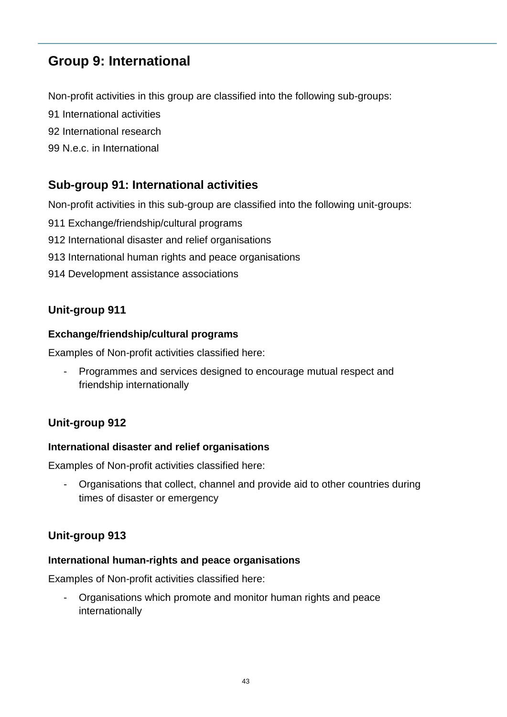# **Group 9: International**

Non-profit activities in this group are classified into the following sub-groups:

91 International activities

92 International research

99 N.e.c. in International

## **Sub-group 91: International activities**

Non-profit activities in this sub-group are classified into the following unit-groups:

- 911 Exchange/friendship/cultural programs
- 912 International disaster and relief organisations
- 913 International human rights and peace organisations
- 914 Development assistance associations

## **Unit-group 911**

#### **Exchange/friendship/cultural programs**

Examples of Non-profit activities classified here:

- Programmes and services designed to encourage mutual respect and friendship internationally

## **Unit-group 912**

#### **International disaster and relief organisations**

Examples of Non-profit activities classified here:

- Organisations that collect, channel and provide aid to other countries during times of disaster or emergency

#### **Unit-group 913**

#### **International human-rights and peace organisations**

Examples of Non-profit activities classified here:

- Organisations which promote and monitor human rights and peace internationally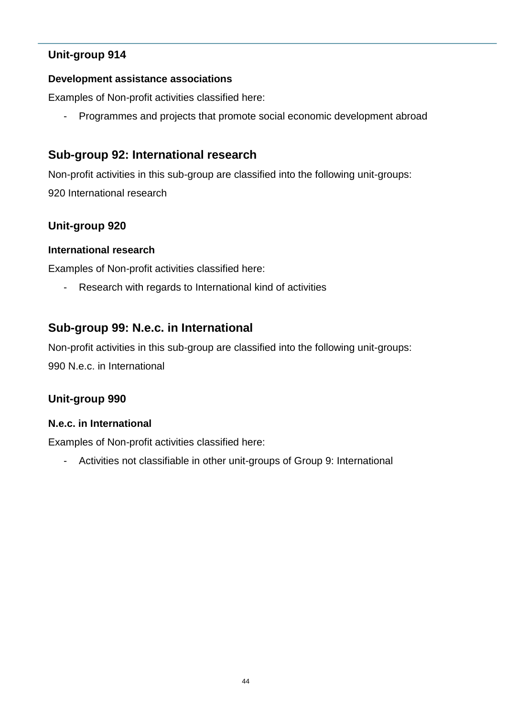#### **Development assistance associations**

Examples of Non-profit activities classified here:

- Programmes and projects that promote social economic development abroad

## **Sub-group 92: International research**

Non-profit activities in this sub-group are classified into the following unit-groups: 920 International research

#### **Unit-group 920**

#### **International research**

Examples of Non-profit activities classified here:

- Research with regards to International kind of activities

## **Sub-group 99: N.e.c. in International**

Non-profit activities in this sub-group are classified into the following unit-groups: 990 N.e.c. in International

## **Unit-group 990**

#### **N.e.c. in International**

Examples of Non-profit activities classified here:

- Activities not classifiable in other unit-groups of Group 9: International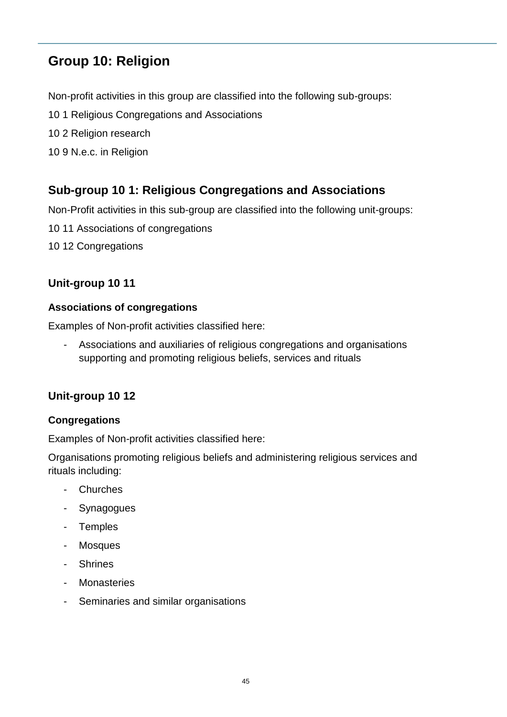# **Group 10: Religion**

Non-profit activities in this group are classified into the following sub-groups:

- 10 1 Religious Congregations and Associations
- 10 2 Religion research
- 10 9 N.e.c. in Religion

# **Sub-group 10 1: Religious Congregations and Associations**

Non-Profit activities in this sub-group are classified into the following unit-groups:

- 10 11 Associations of congregations
- 10 12 Congregations

## **Unit-group 10 11**

#### **Associations of congregations**

Examples of Non-profit activities classified here:

- Associations and auxiliaries of religious congregations and organisations supporting and promoting religious beliefs, services and rituals

## **Unit-group 10 12**

#### **Congregations**

Examples of Non-profit activities classified here:

Organisations promoting religious beliefs and administering religious services and rituals including:

- Churches
- Synagogues
- Temples
- Mosques
- **Shrines**
- Monasteries
- Seminaries and similar organisations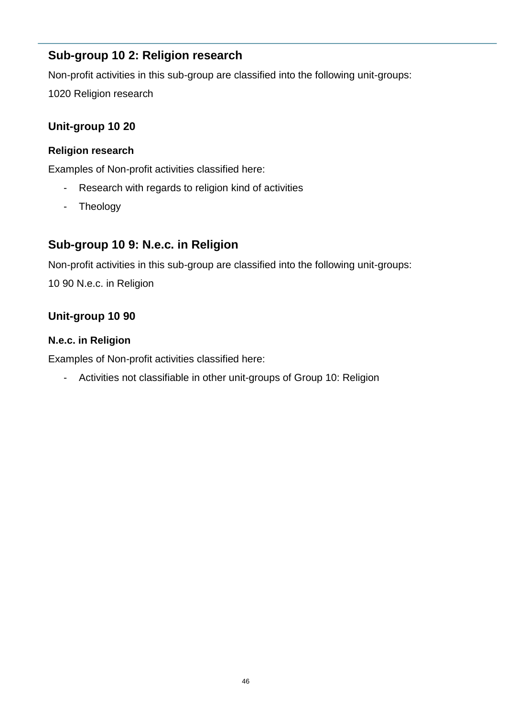## **Sub-group 10 2: Religion research**

Non-profit activities in this sub-group are classified into the following unit-groups:

1020 Religion research

## **Unit-group 10 20**

#### **Religion research**

Examples of Non-profit activities classified here:

- Research with regards to religion kind of activities
- Theology

## **Sub-group 10 9: N.e.c. in Religion**

Non-profit activities in this sub-group are classified into the following unit-groups:

10 90 N.e.c. in Religion

## **Unit-group 10 90**

#### **N.e.c. in Religion**

Examples of Non-profit activities classified here:

- Activities not classifiable in other unit-groups of Group 10: Religion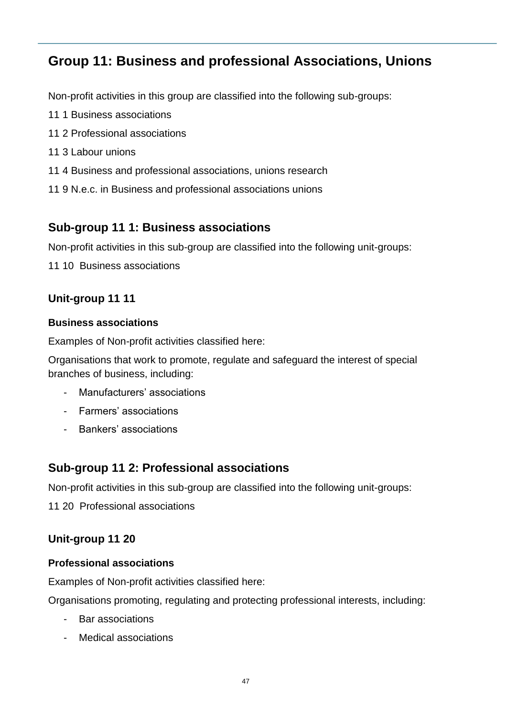# **Group 11: Business and professional Associations, Unions**

Non-profit activities in this group are classified into the following sub-groups:

- 11 1 Business associations
- 11 2 Professional associations
- 11 3 Labour unions
- 11 4 Business and professional associations, unions research
- 11 9 N.e.c. in Business and professional associations unions

## **Sub-group 11 1: Business associations**

Non-profit activities in this sub-group are classified into the following unit-groups:

11 10 Business associations

## **Unit-group 11 11**

#### **Business associations**

Examples of Non-profit activities classified here:

Organisations that work to promote, regulate and safeguard the interest of special branches of business, including:

- Manufacturers' associations
- Farmers' associations
- Bankers' associations

## **Sub-group 11 2: Professional associations**

Non-profit activities in this sub-group are classified into the following unit-groups:

11 20 Professional associations

## **Unit-group 11 20**

#### **Professional associations**

Examples of Non-profit activities classified here:

Organisations promoting, regulating and protecting professional interests, including:

- Bar associations
- Medical associations